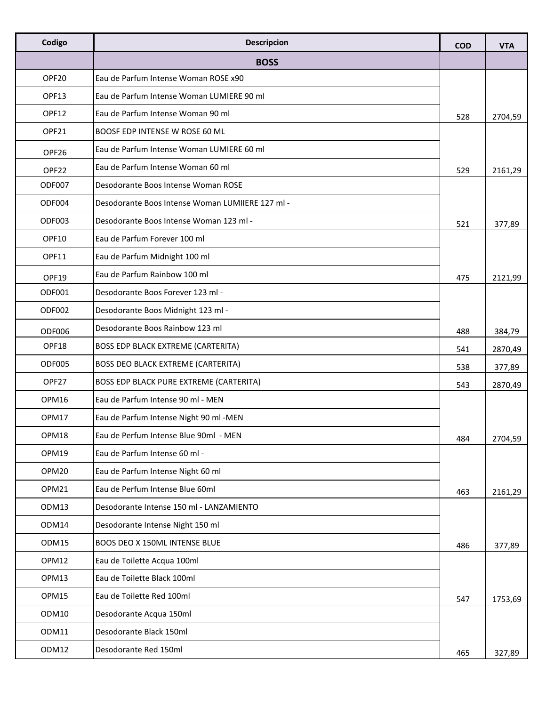| Codigo | <b>Descripcion</b>                               | <b>COD</b> | <b>VTA</b> |
|--------|--------------------------------------------------|------------|------------|
|        | <b>BOSS</b>                                      |            |            |
| OPF20  | Eau de Parfum Intense Woman ROSE x90             |            |            |
| OPF13  | Eau de Parfum Intense Woman LUMIERE 90 ml        |            |            |
| OPF12  | Eau de Parfum Intense Woman 90 ml                | 528        | 2704,59    |
| OPF21  | BOOSF EDP INTENSE W ROSE 60 ML                   |            |            |
| OPF26  | Eau de Parfum Intense Woman LUMIERE 60 ml        |            |            |
| OPF22  | Eau de Parfum Intense Woman 60 ml                | 529        | 2161,29    |
| ODF007 | Desodorante Boos Intense Woman ROSE              |            |            |
| ODF004 | Desodorante Boos Intense Woman LUMIIERE 127 ml - |            |            |
| ODF003 | Desodorante Boos Intense Woman 123 ml -          | 521        | 377,89     |
| OPF10  | Eau de Parfum Forever 100 ml                     |            |            |
| OPF11  | Eau de Parfum Midnight 100 ml                    |            |            |
| OPF19  | Eau de Parfum Rainbow 100 ml                     | 475        | 2121,99    |
| ODF001 | Desodorante Boos Forever 123 ml -                |            |            |
| ODF002 | Desodorante Boos Midnight 123 ml -               |            |            |
| ODF006 | Desodorante Boos Rainbow 123 ml                  | 488        | 384,79     |
| OPF18  | <b>BOSS EDP BLACK EXTREME (CARTERITA)</b>        | 541        | 2870,49    |
| ODF005 | <b>BOSS DEO BLACK EXTREME (CARTERITA)</b>        | 538        | 377,89     |
| OPF27  | BOSS EDP BLACK PURE EXTREME (CARTERITA)          | 543        | 2870,49    |
| OPM16  | Eau de Parfum Intense 90 ml - MEN                |            |            |
| OPM17  | Eau de Parfum Intense Night 90 ml -MEN           |            |            |
| OPM18  | Eau de Perfum Intense Blue 90ml - MEN            | 484        | 2704,59    |
| OPM19  | Eau de Parfum Intense 60 ml -                    |            |            |
| OPM20  | Eau de Parfum Intense Night 60 ml                |            |            |
| OPM21  | Eau de Perfum Intense Blue 60ml                  | 463        | 2161,29    |
| ODM13  | Desodorante Intense 150 ml - LANZAMIENTO         |            |            |
| ODM14  | Desodorante Intense Night 150 ml                 |            |            |
| ODM15  | BOOS DEO X 150ML INTENSE BLUE                    | 486        | 377,89     |
| OPM12  | Eau de Toilette Acqua 100ml                      |            |            |
| OPM13  | Eau de Toilette Black 100ml                      |            |            |
| OPM15  | Eau de Toilette Red 100ml                        | 547        | 1753,69    |
| ODM10  | Desodorante Acqua 150ml                          |            |            |
| ODM11  | Desodorante Black 150ml                          |            |            |
| ODM12  | Desodorante Red 150ml                            | 465        | 327,89     |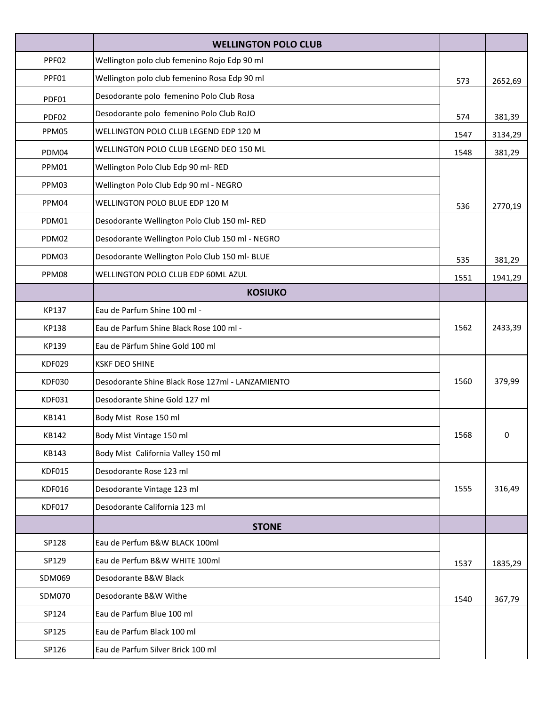|               | <b>WELLINGTON POLO CLUB</b>                      |      |         |
|---------------|--------------------------------------------------|------|---------|
| PPF02         | Wellington polo club femenino Rojo Edp 90 ml     |      |         |
| PPF01         | Wellington polo club femenino Rosa Edp 90 ml     | 573  | 2652,69 |
| PDF01         | Desodorante polo femenino Polo Club Rosa         |      |         |
| PDF02         | Desodorante polo femenino Polo Club RoJO         | 574  | 381,39  |
| PPM05         | WELLINGTON POLO CLUB LEGEND EDP 120 M            | 1547 | 3134,29 |
| PDM04         | WELLINGTON POLO CLUB LEGEND DEO 150 ML           | 1548 | 381,29  |
| PPM01         | Wellington Polo Club Edp 90 ml-RED               |      |         |
| PPM03         | Wellington Polo Club Edp 90 ml - NEGRO           |      |         |
| PPM04         | WELLINGTON POLO BLUE EDP 120 M                   | 536  | 2770,19 |
| PDM01         | Desodorante Wellington Polo Club 150 ml-RED      |      |         |
| PDM02         | Desodorante Wellington Polo Club 150 ml - NEGRO  |      |         |
| PDM03         | Desodorante Wellington Polo Club 150 ml- BLUE    | 535  | 381,29  |
| PPM08         | WELLINGTON POLO CLUB EDP 60ML AZUL               | 1551 | 1941,29 |
|               | <b>KOSIUKO</b>                                   |      |         |
| KP137         | Eau de Parfum Shine 100 ml -                     |      |         |
| KP138         | Eau de Parfum Shine Black Rose 100 ml -          | 1562 | 2433,39 |
| KP139         | Eau de Pärfum Shine Gold 100 ml                  |      |         |
| KDF029        | <b>KSKF DEO SHINE</b>                            |      |         |
| <b>KDF030</b> | Desodorante Shine Black Rose 127ml - LANZAMIENTO | 1560 | 379,99  |
| KDF031        | Desodorante Shine Gold 127 ml                    |      |         |
| KB141         | Body Mist Rose 150 ml                            |      |         |
| KB142         | Body Mist Vintage 150 ml                         | 1568 | 0       |
| KB143         | Body Mist California Valley 150 ml               |      |         |
| KDF015        | Desodorante Rose 123 ml                          |      |         |
| KDF016        | Desodorante Vintage 123 ml                       | 1555 | 316,49  |
| <b>KDF017</b> | Desodorante California 123 ml                    |      |         |
|               | <b>STONE</b>                                     |      |         |
| SP128         | Eau de Perfum B&W BLACK 100ml                    |      |         |
| SP129         | Eau de Perfum B&W WHITE 100ml                    | 1537 | 1835,29 |
| SDM069        | Desodorante B&W Black                            |      |         |
| SDM070        | Desodorante B&W Withe                            | 1540 | 367,79  |
| SP124         | Eau de Parfum Blue 100 ml                        |      |         |
| SP125         | Eau de Parfum Black 100 ml                       |      |         |
| SP126         | Eau de Parfum Silver Brick 100 ml                |      |         |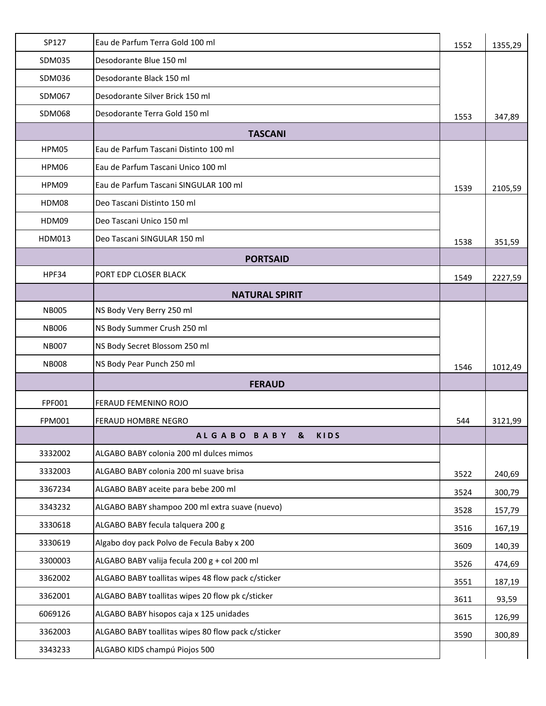| SP127         | Eau de Parfum Terra Gold 100 ml                    | 1552 | 1355,29 |
|---------------|----------------------------------------------------|------|---------|
| SDM035        | Desodorante Blue 150 ml                            |      |         |
| SDM036        | Desodorante Black 150 ml                           |      |         |
| SDM067        | Desodorante Silver Brick 150 ml                    |      |         |
| <b>SDM068</b> | Desodorante Terra Gold 150 ml                      | 1553 | 347,89  |
|               | <b>TASCANI</b>                                     |      |         |
| HPM05         | Eau de Parfum Tascani Distinto 100 ml              |      |         |
| HPM06         | Eau de Parfum Tascani Unico 100 ml                 |      |         |
| HPM09         | Eau de Parfum Tascani SINGULAR 100 ml              | 1539 | 2105,59 |
| HDM08         | Deo Tascani Distinto 150 ml                        |      |         |
| HDM09         | Deo Tascani Unico 150 ml                           |      |         |
| HDM013        | Deo Tascani SINGULAR 150 ml                        | 1538 | 351,59  |
|               | <b>PORTSAID</b>                                    |      |         |
| HPF34         | PORT EDP CLOSER BLACK                              | 1549 | 2227,59 |
|               | <b>NATURAL SPIRIT</b>                              |      |         |
| <b>NB005</b>  | NS Body Very Berry 250 ml                          |      |         |
| <b>NB006</b>  | NS Body Summer Crush 250 ml                        |      |         |
| <b>NB007</b>  | NS Body Secret Blossom 250 ml                      |      |         |
| <b>NB008</b>  | NS Body Pear Punch 250 ml                          | 1546 | 1012,49 |
|               | <b>FERAUD</b>                                      |      |         |
| FPF001        | FERAUD FEMENINO ROJO                               |      |         |
| <b>FPM001</b> | FERAUD HOMBRE NEGRO                                | 544  | 3121,99 |
|               | ALGABO BABY &<br><b>KIDS</b>                       |      |         |
| 3332002       | ALGABO BABY colonia 200 ml dulces mimos            |      |         |
| 3332003       | ALGABO BABY colonia 200 ml suave brisa             | 3522 | 240,69  |
| 3367234       | ALGABO BABY aceite para bebe 200 ml                | 3524 | 300,79  |
| 3343232       | ALGABO BABY shampoo 200 ml extra suave (nuevo)     | 3528 | 157,79  |
| 3330618       | ALGABO BABY fecula talquera 200 g                  | 3516 | 167,19  |
| 3330619       | Algabo doy pack Polvo de Fecula Baby x 200         | 3609 | 140,39  |
| 3300003       | ALGABO BABY valija fecula 200 g + col 200 ml       | 3526 | 474,69  |
| 3362002       | ALGABO BABY toallitas wipes 48 flow pack c/sticker | 3551 | 187,19  |
| 3362001       | ALGABO BABY toallitas wipes 20 flow pk c/sticker   | 3611 | 93,59   |
| 6069126       | ALGABO BABY hisopos caja x 125 unidades            | 3615 | 126,99  |
| 3362003       | ALGABO BABY toallitas wipes 80 flow pack c/sticker | 3590 | 300,89  |
| 3343233       | ALGABO KIDS champú Piojos 500                      |      |         |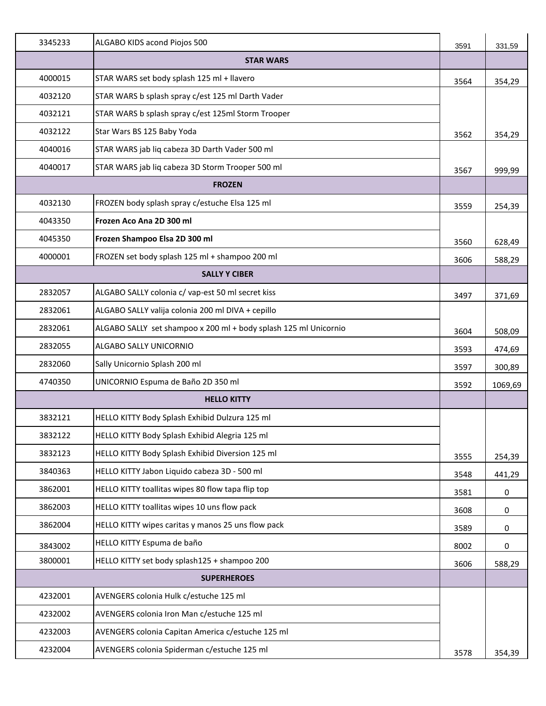| 3345233 | ALGABO KIDS acond Piojos 500                                     | 3591 | 331,59  |
|---------|------------------------------------------------------------------|------|---------|
|         | <b>STAR WARS</b>                                                 |      |         |
| 4000015 | STAR WARS set body splash 125 ml + llavero                       | 3564 | 354,29  |
| 4032120 | STAR WARS b splash spray c/est 125 ml Darth Vader                |      |         |
| 4032121 | STAR WARS b splash spray c/est 125ml Storm Trooper               |      |         |
| 4032122 | Star Wars BS 125 Baby Yoda                                       | 3562 | 354,29  |
| 4040016 | STAR WARS jab liq cabeza 3D Darth Vader 500 ml                   |      |         |
| 4040017 | STAR WARS jab liq cabeza 3D Storm Trooper 500 ml                 | 3567 | 999,99  |
|         | <b>FROZEN</b>                                                    |      |         |
| 4032130 | FROZEN body splash spray c/estuche Elsa 125 ml                   | 3559 | 254,39  |
| 4043350 | Frozen Aco Ana 2D 300 ml                                         |      |         |
| 4045350 | Frozen Shampoo Elsa 2D 300 ml                                    | 3560 | 628,49  |
| 4000001 | FROZEN set body splash 125 ml + shampoo 200 ml                   | 3606 | 588,29  |
|         | <b>SALLY Y CIBER</b>                                             |      |         |
| 2832057 | ALGABO SALLY colonia c/ vap-est 50 ml secret kiss                | 3497 | 371,69  |
| 2832061 | ALGABO SALLY valija colonia 200 ml DIVA + cepillo                |      |         |
| 2832061 | ALGABO SALLY set shampoo x 200 ml + body splash 125 ml Unicornio | 3604 | 508,09  |
| 2832055 | ALGABO SALLY UNICORNIO                                           | 3593 | 474,69  |
| 2832060 | Sally Unicornio Splash 200 ml                                    | 3597 | 300,89  |
| 4740350 | UNICORNIO Espuma de Baño 2D 350 ml                               | 3592 | 1069,69 |
|         | <b>HELLO KITTY</b>                                               |      |         |
| 3832121 | HELLO KITTY Body Splash Exhibid Dulzura 125 ml                   |      |         |
| 3832122 | HELLO KITTY Body Splash Exhibid Alegria 125 ml                   |      |         |
| 3832123 | HELLO KITTY Body Splash Exhibid Diversion 125 ml                 | 3555 | 254,39  |
| 3840363 | HELLO KITTY Jabon Liquido cabeza 3D - 500 ml                     | 3548 | 441,29  |
| 3862001 | HELLO KITTY toallitas wipes 80 flow tapa flip top                | 3581 | 0       |
| 3862003 | HELLO KITTY toallitas wipes 10 uns flow pack                     | 3608 | 0       |
| 3862004 | HELLO KITTY wipes caritas y manos 25 uns flow pack               | 3589 | 0       |
| 3843002 | HELLO KITTY Espuma de baño                                       | 8002 | 0       |
| 3800001 | HELLO KITTY set body splash125 + shampoo 200                     | 3606 | 588,29  |
|         | <b>SUPERHEROES</b>                                               |      |         |
| 4232001 | AVENGERS colonia Hulk c/estuche 125 ml                           |      |         |
| 4232002 | AVENGERS colonia Iron Man c/estuche 125 ml                       |      |         |
| 4232003 | AVENGERS colonia Capitan America c/estuche 125 ml                |      |         |
| 4232004 | AVENGERS colonia Spiderman c/estuche 125 ml                      | 3578 | 354,39  |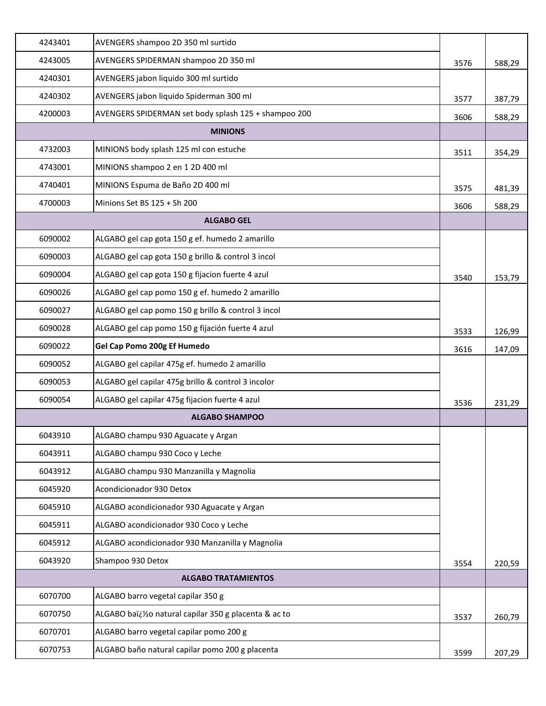| 4243401 | AVENGERS shampoo 2D 350 ml surtido                   |      |        |
|---------|------------------------------------------------------|------|--------|
| 4243005 | AVENGERS SPIDERMAN shampoo 2D 350 ml                 | 3576 | 588,29 |
| 4240301 | AVENGERS jabon liquido 300 ml surtido                |      |        |
| 4240302 | AVENGERS jabon liquido Spiderman 300 ml              | 3577 | 387,79 |
| 4200003 | AVENGERS SPIDERMAN set body splash 125 + shampoo 200 | 3606 | 588,29 |
|         | <b>MINIONS</b>                                       |      |        |
| 4732003 | MINIONS body splash 125 ml con estuche               | 3511 | 354,29 |
| 4743001 | MINIONS shampoo 2 en 1 2D 400 ml                     |      |        |
| 4740401 | MINIONS Espuma de Baño 2D 400 ml                     | 3575 | 481,39 |
| 4700003 | Minions Set BS 125 + Sh 200                          | 3606 | 588,29 |
|         | <b>ALGABO GEL</b>                                    |      |        |
| 6090002 | ALGABO gel cap gota 150 g ef. humedo 2 amarillo      |      |        |
| 6090003 | ALGABO gel cap gota 150 g brillo & control 3 incol   |      |        |
| 6090004 | ALGABO gel cap gota 150 g fijacion fuerte 4 azul     | 3540 | 153,79 |
| 6090026 | ALGABO gel cap pomo 150 g ef. humedo 2 amarillo      |      |        |
| 6090027 | ALGABO gel cap pomo 150 g brillo & control 3 incol   |      |        |
| 6090028 | ALGABO gel cap pomo 150 g fijación fuerte 4 azul     | 3533 | 126,99 |
| 6090022 | Gel Cap Pomo 200g Ef Humedo                          | 3616 | 147,09 |
| 6090052 | ALGABO gel capilar 475g ef. humedo 2 amarillo        |      |        |
| 6090053 | ALGABO gel capilar 475g brillo & control 3 incolor   |      |        |
| 6090054 | ALGABO gel capilar 475g fijacion fuerte 4 azul       | 3536 | 231,29 |
|         | <b>ALGABO SHAMPOO</b>                                |      |        |
| 6043910 | ALGABO champu 930 Aguacate y Argan                   |      |        |
| 6043911 | ALGABO champu 930 Coco y Leche                       |      |        |
| 6043912 | ALGABO champu 930 Manzanilla y Magnolia              |      |        |
| 6045920 | Acondicionador 930 Detox                             |      |        |
| 6045910 | ALGABO acondicionador 930 Aguacate y Argan           |      |        |
| 6045911 | ALGABO acondicionador 930 Coco y Leche               |      |        |
| 6045912 | ALGABO acondicionador 930 Manzanilla y Magnolia      |      |        |
| 6043920 | Shampoo 930 Detox                                    | 3554 | 220,59 |
|         | <b>ALGABO TRATAMIENTOS</b>                           |      |        |
| 6070700 | ALGABO barro vegetal capilar 350 g                   |      |        |
| 6070750 | ALGABO baï¿%o natural capilar 350 g placenta & ac to | 3537 | 260,79 |
| 6070701 | ALGABO barro vegetal capilar pomo 200 g              |      |        |
| 6070753 | ALGABO baño natural capilar pomo 200 g placenta      | 3599 | 207,29 |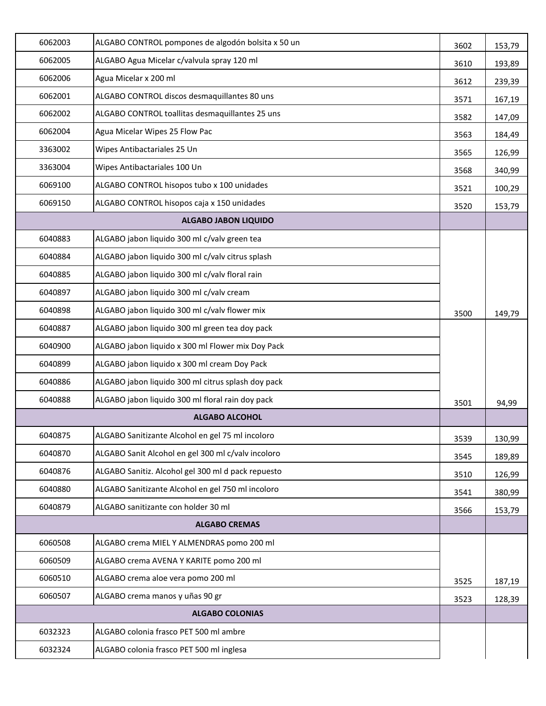| 6062003 | ALGABO CONTROL pompones de algodón bolsita x 50 un | 3602 | 153,79 |
|---------|----------------------------------------------------|------|--------|
| 6062005 | ALGABO Agua Micelar c/valvula spray 120 ml         | 3610 | 193,89 |
| 6062006 | Agua Micelar x 200 ml                              | 3612 | 239,39 |
| 6062001 | ALGABO CONTROL discos desmaquillantes 80 uns       | 3571 | 167,19 |
| 6062002 | ALGABO CONTROL toallitas desmaquillantes 25 uns    | 3582 | 147,09 |
| 6062004 | Agua Micelar Wipes 25 Flow Pac                     | 3563 | 184,49 |
| 3363002 | Wipes Antibactariales 25 Un                        | 3565 | 126,99 |
| 3363004 | Wipes Antibactariales 100 Un                       | 3568 | 340,99 |
| 6069100 | ALGABO CONTROL hisopos tubo x 100 unidades         | 3521 | 100,29 |
| 6069150 | ALGABO CONTROL hisopos caja x 150 unidades         | 3520 | 153,79 |
|         | <b>ALGABO JABON LIQUIDO</b>                        |      |        |
| 6040883 | ALGABO jabon liquido 300 ml c/valv green tea       |      |        |
| 6040884 | ALGABO jabon liquido 300 ml c/valv citrus splash   |      |        |
| 6040885 | ALGABO jabon liquido 300 ml c/valv floral rain     |      |        |
| 6040897 | ALGABO jabon liquido 300 ml c/valv cream           |      |        |
| 6040898 | ALGABO jabon liquido 300 ml c/valv flower mix      | 3500 | 149,79 |
| 6040887 | ALGABO jabon liquido 300 ml green tea doy pack     |      |        |
| 6040900 | ALGABO jabon liquido x 300 ml Flower mix Doy Pack  |      |        |
| 6040899 | ALGABO jabon liquido x 300 ml cream Doy Pack       |      |        |
| 6040886 | ALGABO jabon liquido 300 ml citrus splash doy pack |      |        |
| 6040888 | ALGABO jabon liquido 300 ml floral rain doy pack   | 3501 | 94,99  |
|         | <b>ALGABO ALCOHOL</b>                              |      |        |
| 6040875 | ALGABO Sanitizante Alcohol en gel 75 ml incoloro   | 3539 | 130,99 |
| 6040870 | ALGABO Sanit Alcohol en gel 300 ml c/valv incoloro | 3545 | 189,89 |
| 6040876 | ALGABO Sanitiz. Alcohol gel 300 ml d pack repuesto | 3510 | 126,99 |
| 6040880 | ALGABO Sanitizante Alcohol en gel 750 ml incoloro  | 3541 | 380,99 |
| 6040879 | ALGABO sanitizante con holder 30 ml                | 3566 | 153,79 |
|         | <b>ALGABO CREMAS</b>                               |      |        |
| 6060508 | ALGABO crema MIEL Y ALMENDRAS pomo 200 ml          |      |        |
| 6060509 | ALGABO crema AVENA Y KARITE pomo 200 ml            |      |        |
| 6060510 | ALGABO crema aloe vera pomo 200 ml                 | 3525 | 187,19 |
| 6060507 | ALGABO crema manos y uñas 90 gr                    | 3523 | 128,39 |
|         | <b>ALGABO COLONIAS</b>                             |      |        |
| 6032323 | ALGABO colonia frasco PET 500 ml ambre             |      |        |
| 6032324 | ALGABO colonia frasco PET 500 ml inglesa           |      |        |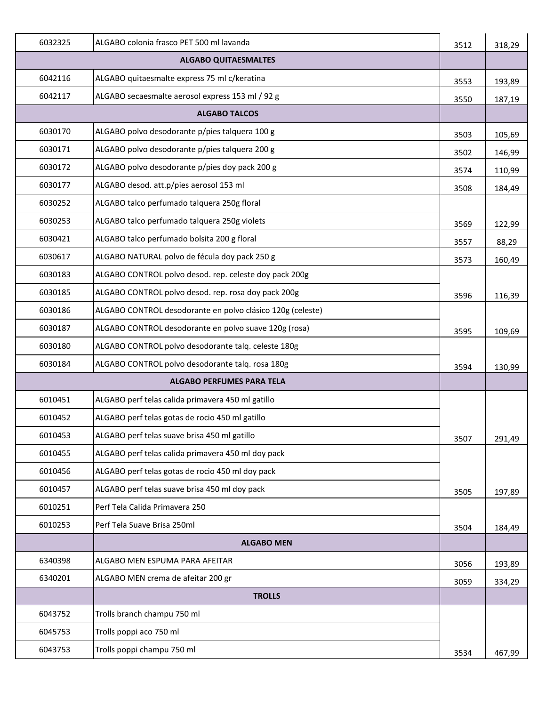| 6032325 | ALGABO colonia frasco PET 500 ml lavanda                   | 3512 | 318,29 |
|---------|------------------------------------------------------------|------|--------|
|         | <b>ALGABO QUITAESMALTES</b>                                |      |        |
| 6042116 | ALGABO quitaesmalte express 75 ml c/keratina               | 3553 | 193,89 |
| 6042117 | ALGABO secaesmalte aerosol express 153 ml / 92 g           | 3550 | 187,19 |
|         | <b>ALGABO TALCOS</b>                                       |      |        |
| 6030170 | ALGABO polvo desodorante p/pies talquera 100 g             | 3503 | 105,69 |
| 6030171 | ALGABO polvo desodorante p/pies talquera 200 g             | 3502 | 146,99 |
| 6030172 | ALGABO polvo desodorante p/pies doy pack 200 g             | 3574 | 110,99 |
| 6030177 | ALGABO desod. att.p/pies aerosol 153 ml                    | 3508 | 184,49 |
| 6030252 | ALGABO talco perfumado talquera 250g floral                |      |        |
| 6030253 | ALGABO talco perfumado talquera 250g violets               | 3569 | 122,99 |
| 6030421 | ALGABO talco perfumado bolsita 200 g floral                | 3557 | 88,29  |
| 6030617 | ALGABO NATURAL polvo de fécula doy pack 250 g              | 3573 | 160,49 |
| 6030183 | ALGABO CONTROL polvo desod. rep. celeste doy pack 200g     |      |        |
| 6030185 | ALGABO CONTROL polvo desod. rep. rosa doy pack 200g        | 3596 | 116,39 |
| 6030186 | ALGABO CONTROL desodorante en polvo clásico 120g (celeste) |      |        |
| 6030187 | ALGABO CONTROL desodorante en polvo suave 120g (rosa)      | 3595 | 109,69 |
| 6030180 | ALGABO CONTROL polvo desodorante talq. celeste 180g        |      |        |
| 6030184 | ALGABO CONTROL polvo desodorante talq. rosa 180g           | 3594 | 130,99 |
|         | <b>ALGABO PERFUMES PARA TELA</b>                           |      |        |
| 6010451 | ALGABO perf telas calida primavera 450 ml gatillo          |      |        |
| 6010452 | ALGABO perf telas gotas de rocio 450 ml gatillo            |      |        |
| 6010453 | ALGABO perf telas suave brisa 450 ml gatillo               | 3507 | 291,49 |
| 6010455 | ALGABO perf telas calida primavera 450 ml doy pack         |      |        |
| 6010456 | ALGABO perf telas gotas de rocio 450 ml doy pack           |      |        |
| 6010457 | ALGABO perf telas suave brisa 450 ml doy pack              | 3505 | 197,89 |
| 6010251 | Perf Tela Calida Primavera 250                             |      |        |
| 6010253 | Perf Tela Suave Brisa 250ml                                | 3504 | 184,49 |
|         | <b>ALGABO MEN</b>                                          |      |        |
| 6340398 | ALGABO MEN ESPUMA PARA AFEITAR                             | 3056 | 193,89 |
| 6340201 | ALGABO MEN crema de afeitar 200 gr                         | 3059 | 334,29 |
|         | <b>TROLLS</b>                                              |      |        |
| 6043752 | Trolls branch champu 750 ml                                |      |        |
| 6045753 | Trolls poppi aco 750 ml                                    |      |        |
| 6043753 | Trolls poppi champu 750 ml                                 | 3534 | 467,99 |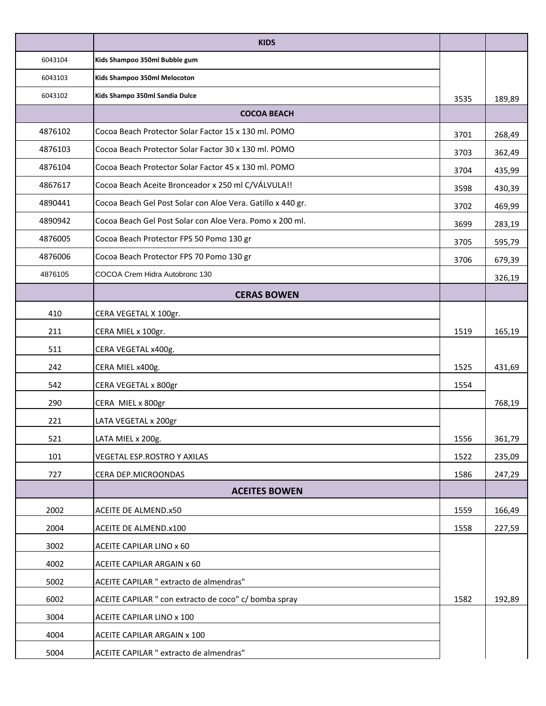|         | <b>KIDS</b>                                                 |      |        |
|---------|-------------------------------------------------------------|------|--------|
| 6043104 | Kids Shampoo 350ml Bubble gum                               |      |        |
| 6043103 | Kids Shampoo 350ml Melocoton                                |      |        |
| 6043102 | Kids Shampo 350ml Sandia Dulce                              | 3535 | 189,89 |
|         | <b>COCOA BEACH</b>                                          |      |        |
| 4876102 | Cocoa Beach Protector Solar Factor 15 x 130 ml. POMO        | 3701 | 268,49 |
| 4876103 | Cocoa Beach Protector Solar Factor 30 x 130 ml. POMO        | 3703 | 362,49 |
| 4876104 | Cocoa Beach Protector Solar Factor 45 x 130 ml. POMO        | 3704 | 435,99 |
| 4867617 | Cocoa Beach Aceite Bronceador x 250 ml C/VÁLVULA!!          | 3598 | 430,39 |
| 4890441 | Cocoa Beach Gel Post Solar con Aloe Vera. Gatillo x 440 gr. | 3702 | 469,99 |
| 4890942 | Cocoa Beach Gel Post Solar con Aloe Vera. Pomo x 200 ml.    | 3699 | 283,19 |
| 4876005 | Cocoa Beach Protector FPS 50 Pomo 130 gr                    | 3705 | 595,79 |
| 4876006 | Cocoa Beach Protector FPS 70 Pomo 130 gr                    | 3706 | 679,39 |
| 4876105 | COCOA Crem Hidra Autobronc 130                              |      | 326,19 |
|         | <b>CERAS BOWEN</b>                                          |      |        |
| 410     | CERA VEGETAL X 100gr.                                       |      |        |
| 211     | CERA MIEL x 100gr.                                          | 1519 | 165,19 |
| 511     | CERA VEGETAL x400g.                                         |      |        |
| 242     | CERA MIEL x400g.                                            | 1525 | 431,69 |
| 542     | CERA VEGETAL x 800gr                                        | 1554 |        |
| 290     | CERA MIEL x 800gr                                           |      | 768,19 |
| 221     | LATA VEGETAL x 200gr                                        |      |        |
| 521     | LATA MIEL x 200g.                                           | 1556 | 361,79 |
| 101     | VEGETAL ESP.ROSTRO Y AXILAS                                 | 1522 | 235,09 |
| 727     | CERA DEP.MICROONDAS                                         | 1586 | 247,29 |
|         | <b>ACEITES BOWEN</b>                                        |      |        |
| 2002    | ACEITE DE ALMEND.x50                                        | 1559 | 166,49 |
| 2004    | ACEITE DE ALMEND.x100                                       | 1558 | 227,59 |
| 3002    | ACEITE CAPILAR LINO x 60                                    |      |        |
| 4002    | ACEITE CAPILAR ARGAIN x 60                                  |      |        |
| 5002    | ACEITE CAPILAR " extracto de almendras"                     |      |        |
| 6002    | ACEITE CAPILAR " con extracto de coco" c/ bomba spray       | 1582 | 192,89 |
| 3004    | ACEITE CAPILAR LINO x 100                                   |      |        |
| 4004    | ACEITE CAPILAR ARGAIN x 100                                 |      |        |
| 5004    | ACEITE CAPILAR " extracto de almendras"                     |      |        |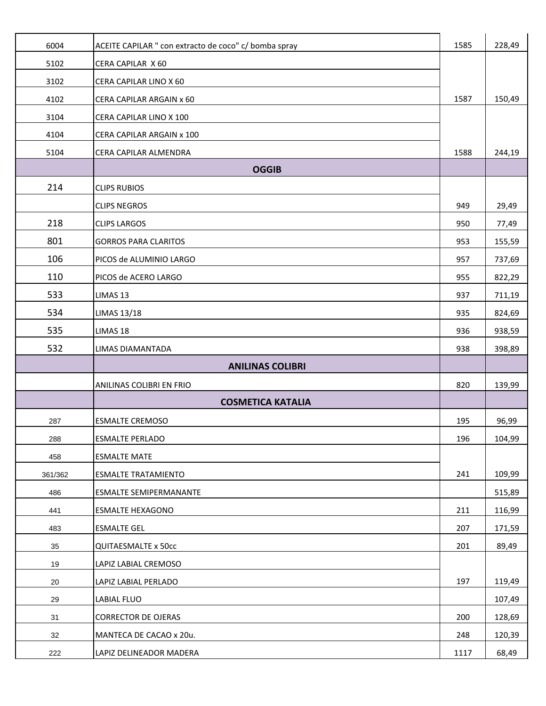| 6004    | ACEITE CAPILAR " con extracto de coco" c/ bomba spray | 1585 | 228,49 |
|---------|-------------------------------------------------------|------|--------|
| 5102    | CERA CAPILAR X 60                                     |      |        |
| 3102    | CERA CAPILAR LINO X 60                                |      |        |
| 4102    | CERA CAPILAR ARGAIN x 60                              | 1587 | 150,49 |
| 3104    | CERA CAPILAR LINO X 100                               |      |        |
| 4104    | CERA CAPILAR ARGAIN x 100                             |      |        |
| 5104    | CERA CAPILAR ALMENDRA                                 | 1588 | 244,19 |
|         | <b>OGGIB</b>                                          |      |        |
| 214     | <b>CLIPS RUBIOS</b>                                   |      |        |
|         | <b>CLIPS NEGROS</b>                                   | 949  | 29,49  |
| 218     | <b>CLIPS LARGOS</b>                                   | 950  | 77,49  |
| 801     | <b>GORROS PARA CLARITOS</b>                           | 953  | 155,59 |
| 106     | PICOS de ALUMINIO LARGO                               | 957  | 737,69 |
| 110     | PICOS de ACERO LARGO                                  | 955  | 822,29 |
| 533     | LIMAS 13                                              | 937  | 711,19 |
| 534     | <b>LIMAS 13/18</b>                                    | 935  | 824,69 |
| 535     | LIMAS 18                                              | 936  | 938,59 |
| 532     | LIMAS DIAMANTADA                                      | 938  | 398,89 |
|         | <b>ANILINAS COLIBRI</b>                               |      |        |
|         | ANILINAS COLIBRI EN FRIO                              | 820  | 139,99 |
|         | <b>COSMETICA KATALIA</b>                              |      |        |
| 287     | <b>ESMALTE CREMOSO</b>                                | 195  | 96,99  |
| 288     | <b>ESMALTE PERLADO</b>                                | 196  | 104,99 |
| 458     | <b>ESMALTE MATE</b>                                   |      |        |
| 361/362 | <b>ESMALTE TRATAMIENTO</b>                            | 241  | 109,99 |
| 486     | ESMALTE SEMIPERMANANTE                                |      | 515,89 |
| 441     | <b>ESMALTE HEXAGONO</b>                               | 211  | 116,99 |
| 483     | <b>ESMALTE GEL</b>                                    | 207  | 171,59 |
| 35      | <b>QUITAESMALTE x 50cc</b>                            | 201  | 89,49  |
| 19      | LAPIZ LABIAL CREMOSO                                  |      |        |
| 20      | LAPIZ LABIAL PERLADO                                  | 197  | 119,49 |
| 29      | LABIAL FLUO                                           |      | 107,49 |
| 31      | <b>CORRECTOR DE OJERAS</b>                            | 200  | 128,69 |
| 32      | MANTECA DE CACAO x 20u.                               | 248  | 120,39 |
| 222     | LAPIZ DELINEADOR MADERA                               | 1117 | 68,49  |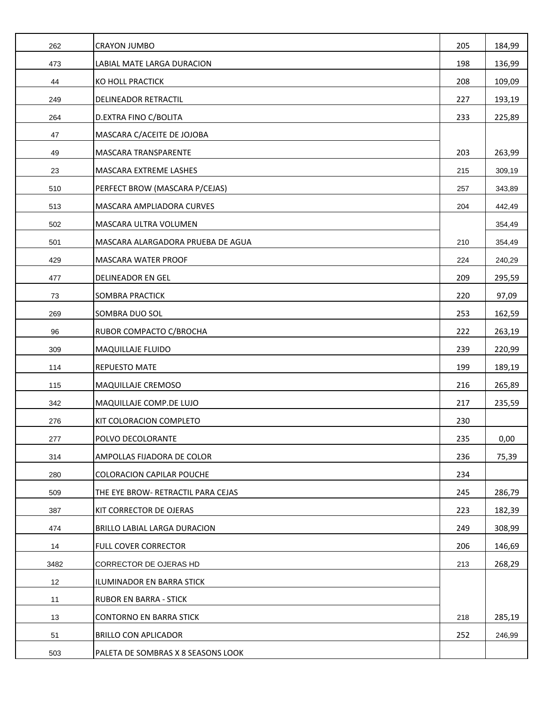| 262  | <b>CRAYON JUMBO</b>                | 205 | 184,99 |
|------|------------------------------------|-----|--------|
| 473  | LABIAL MATE LARGA DURACION         | 198 | 136,99 |
| 44   | KO HOLL PRACTICK                   | 208 | 109,09 |
| 249  | DELINEADOR RETRACTIL               | 227 | 193,19 |
| 264  | D.EXTRA FINO C/BOLITA              | 233 | 225,89 |
| 47   | MASCARA C/ACEITE DE JOJOBA         |     |        |
| 49   | MASCARA TRANSPARENTE               | 203 | 263,99 |
| 23   | MASCARA EXTREME LASHES             | 215 | 309,19 |
| 510  | PERFECT BROW (MASCARA P/CEJAS)     | 257 | 343,89 |
| 513  | MASCARA AMPLIADORA CURVES          | 204 | 442,49 |
| 502  | MASCARA ULTRA VOLUMEN              |     | 354,49 |
| 501  | MASCARA ALARGADORA PRUEBA DE AGUA  | 210 | 354,49 |
| 429  | <b>MASCARA WATER PROOF</b>         | 224 | 240,29 |
| 477  | DELINEADOR EN GEL                  | 209 | 295,59 |
| 73   | SOMBRA PRACTICK                    | 220 | 97,09  |
| 269  | SOMBRA DUO SOL                     | 253 | 162,59 |
| 96   | RUBOR COMPACTO C/BROCHA            | 222 | 263,19 |
| 309  | <b>MAQUILLAJE FLUIDO</b>           | 239 | 220,99 |
| 114  | <b>REPUESTO MATE</b>               | 199 | 189,19 |
| 115  | MAQUILLAJE CREMOSO                 | 216 | 265,89 |
| 342  | MAQUILLAJE COMP.DE LUJO            | 217 | 235,59 |
| 276  | KIT COLORACION COMPLETO            | 230 |        |
| 277  | POLVO DECOLORANTE                  | 235 | 0,00   |
| 314  | AMPOLLAS FIJADORA DE COLOR         | 236 | 75,39  |
| 280  | <b>COLORACION CAPILAR POUCHE</b>   | 234 |        |
| 509  | THE EYE BROW- RETRACTIL PARA CEJAS | 245 | 286,79 |
| 387  | KIT CORRECTOR DE OJERAS            | 223 | 182,39 |
| 474  | BRILLO LABIAL LARGA DURACION       | 249 | 308,99 |
| 14   | FULL COVER CORRECTOR               | 206 | 146,69 |
| 3482 | CORRECTOR DE OJERAS HD             | 213 | 268,29 |
| 12   | ILUMINADOR EN BARRA STICK          |     |        |
| 11   | <b>RUBOR EN BARRA - STICK</b>      |     |        |
| 13   | <b>CONTORNO EN BARRA STICK</b>     | 218 | 285,19 |
| 51   | <b>BRILLO CON APLICADOR</b>        | 252 | 246,99 |
| 503  | PALETA DE SOMBRAS X 8 SEASONS LOOK |     |        |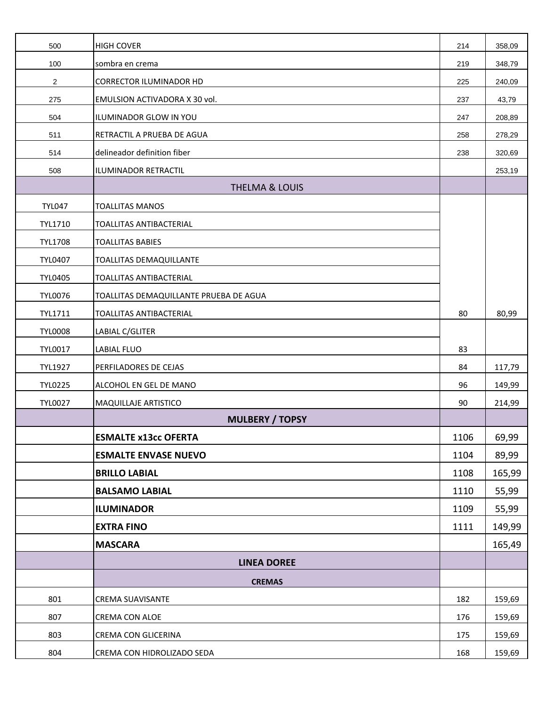| 500                     | <b>HIGH COVER</b>                      | 214  | 358,09 |
|-------------------------|----------------------------------------|------|--------|
| 100                     | sombra en crema                        | 219  | 348,79 |
| $\overline{\mathbf{c}}$ | CORRECTOR ILUMINADOR HD                | 225  | 240,09 |
| 275                     | EMULSION ACTIVADORA X 30 vol.          | 237  | 43,79  |
| 504                     | ILUMINADOR GLOW IN YOU                 | 247  | 208,89 |
| 511                     | RETRACTIL A PRUEBA DE AGUA             | 258  | 278,29 |
| 514                     | delineador definition fiber            | 238  | 320,69 |
| 508                     | ILUMINADOR RETRACTIL                   |      | 253,19 |
|                         | <b>THELMA &amp; LOUIS</b>              |      |        |
| <b>TYL047</b>           | <b>TOALLITAS MANOS</b>                 |      |        |
| TYL1710                 | TOALLITAS ANTIBACTERIAL                |      |        |
| <b>TYL1708</b>          | <b>TOALLITAS BABIES</b>                |      |        |
| <b>TYL0407</b>          | <b>TOALLITAS DEMAQUILLANTE</b>         |      |        |
| <b>TYL0405</b>          | TOALLITAS ANTIBACTERIAL                |      |        |
| <b>TYL0076</b>          | TOALLITAS DEMAQUILLANTE PRUEBA DE AGUA |      |        |
| TYL1711                 | TOALLITAS ANTIBACTERIAL                | 80   | 80,99  |
| <b>TYL0008</b>          | LABIAL C/GLITER                        |      |        |
| <b>TYL0017</b>          | <b>LABIAL FLUO</b>                     | 83   |        |
| <b>TYL1927</b>          | PERFILADORES DE CEJAS                  | 84   | 117,79 |
| <b>TYL0225</b>          | ALCOHOL EN GEL DE MANO                 | 96   | 149,99 |
| <b>TYL0027</b>          | <b>MAQUILLAJE ARTISTICO</b>            | 90   | 214,99 |
|                         | <b>MULBERY / TOPSY</b>                 |      |        |
|                         | <b>ESMALTE x13cc OFERTA</b>            | 1106 | 69,99  |
|                         | <b>ESMALTE ENVASE NUEVO</b>            | 1104 | 89,99  |
|                         | <b>BRILLO LABIAL</b>                   | 1108 | 165,99 |
|                         | <b>BALSAMO LABIAL</b>                  | 1110 | 55,99  |
|                         | <b>ILUMINADOR</b>                      | 1109 | 55,99  |
|                         | <b>EXTRA FINO</b>                      | 1111 | 149,99 |
|                         | <b>MASCARA</b>                         |      | 165,49 |
|                         | <b>LINEA DOREE</b>                     |      |        |
|                         | <b>CREMAS</b>                          |      |        |
| 801                     | <b>CREMA SUAVISANTE</b>                | 182  | 159,69 |
| 807                     | CREMA CON ALOE                         | 176  | 159,69 |
| 803                     | CREMA CON GLICERINA                    | 175  | 159,69 |
| 804                     | CREMA CON HIDROLIZADO SEDA             | 168  | 159,69 |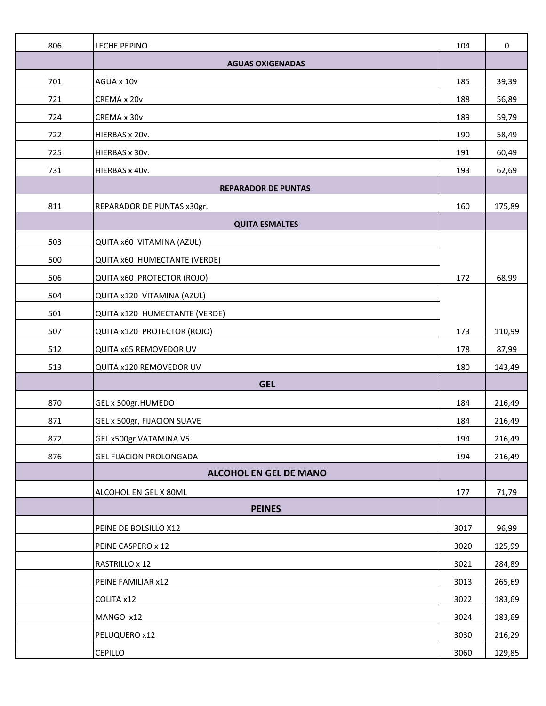| 806 | LECHE PEPINO                   | 104  | $\mathbf 0$ |
|-----|--------------------------------|------|-------------|
|     | <b>AGUAS OXIGENADAS</b>        |      |             |
| 701 | AGUA x 10v                     | 185  | 39,39       |
| 721 | CREMA x 20v                    | 188  | 56,89       |
| 724 | CREMA x 30v                    | 189  | 59,79       |
| 722 | HIERBAS x 20v.                 | 190  | 58,49       |
| 725 | HIERBAS x 30v.                 | 191  | 60,49       |
| 731 | HIERBAS x 40v.                 | 193  | 62,69       |
|     | <b>REPARADOR DE PUNTAS</b>     |      |             |
| 811 | REPARADOR DE PUNTAS x30gr.     | 160  | 175,89      |
|     | <b>QUITA ESMALTES</b>          |      |             |
| 503 | QUITA x60 VITAMINA (AZUL)      |      |             |
| 500 | QUITA x60 HUMECTANTE (VERDE)   |      |             |
| 506 | QUITA x60 PROTECTOR (ROJO)     | 172  | 68,99       |
| 504 | QUITA x120 VITAMINA (AZUL)     |      |             |
| 501 | QUITA x120 HUMECTANTE (VERDE)  |      |             |
| 507 | QUITA x120 PROTECTOR (ROJO)    | 173  | 110,99      |
| 512 | QUITA x65 REMOVEDOR UV         | 178  | 87,99       |
| 513 | QUITA x120 REMOVEDOR UV        | 180  | 143,49      |
|     | <b>GEL</b>                     |      |             |
| 870 | GEL x 500gr.HUMEDO             | 184  | 216,49      |
| 871 | GEL x 500gr, FIJACION SUAVE    | 184  | 216,49      |
| 872 | GEL x500gr.VATAMINA V5         | 194  | 216,49      |
| 876 | <b>GEL FIJACION PROLONGADA</b> | 194  | 216,49      |
|     | <b>ALCOHOL EN GEL DE MANO</b>  |      |             |
|     | ALCOHOL EN GEL X 80ML          | 177  | 71,79       |
|     | <b>PEINES</b>                  |      |             |
|     | PEINE DE BOLSILLO X12          | 3017 | 96,99       |
|     | PEINE CASPERO x 12             | 3020 | 125,99      |
|     | RASTRILLO x 12                 | 3021 | 284,89      |
|     | PEINE FAMILIAR x12             | 3013 | 265,69      |
|     | COLITA x12                     | 3022 | 183,69      |
|     | MANGO x12                      | 3024 | 183,69      |
|     | PELUQUERO x12                  | 3030 | 216,29      |
|     | <b>CEPILLO</b>                 | 3060 | 129,85      |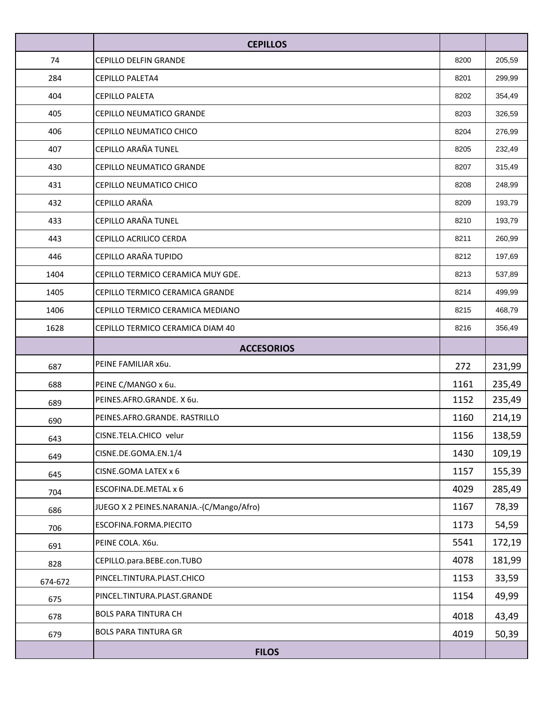|         | <b>CEPILLOS</b>                          |      |        |
|---------|------------------------------------------|------|--------|
| 74      | <b>CEPILLO DELFIN GRANDE</b>             | 8200 | 205,59 |
| 284     | <b>CEPILLO PALETA4</b>                   | 8201 | 299,99 |
| 404     | <b>CEPILLO PALETA</b>                    | 8202 | 354,49 |
| 405     | CEPILLO NEUMATICO GRANDE                 | 8203 | 326,59 |
| 406     | CEPILLO NEUMATICO CHICO                  | 8204 | 276,99 |
| 407     | CEPILLO ARAÑA TUNEL                      | 8205 | 232,49 |
| 430     | CEPILLO NEUMATICO GRANDE                 | 8207 | 315,49 |
| 431     | CEPILLO NEUMATICO CHICO                  | 8208 | 248,99 |
| 432     | CEPILLO ARAÑA                            | 8209 | 193,79 |
| 433     | CEPILLO ARAÑA TUNEL                      | 8210 | 193,79 |
| 443     | CEPILLO ACRILICO CERDA                   | 8211 | 260,99 |
| 446     | CEPILLO ARAÑA TUPIDO                     | 8212 | 197,69 |
| 1404    | CEPILLO TERMICO CERAMICA MUY GDE.        | 8213 | 537,89 |
| 1405    | CEPILLO TERMICO CERAMICA GRANDE          | 8214 | 499,99 |
| 1406    | CEPILLO TERMICO CERAMICA MEDIANO         | 8215 | 468,79 |
| 1628    | CEPILLO TERMICO CERAMICA DIAM 40         | 8216 | 356,49 |
|         | <b>ACCESORIOS</b>                        |      |        |
| 687     | PEINE FAMILIAR x6u.                      | 272  | 231,99 |
| 688     | PEINE C/MANGO x 6u.                      | 1161 | 235,49 |
| 689     | PEINES.AFRO.GRANDE. X 6u.                | 1152 | 235,49 |
| 690     | PEINES.AFRO.GRANDE. RASTRILLO            | 1160 | 214,19 |
| 643     | CISNE.TELA.CHICO velur                   | 1156 | 138,59 |
| 649     | CISNE.DE.GOMA.EN.1/4                     | 1430 | 109,19 |
| 645     | CISNE.GOMA LATEX x 6                     | 1157 | 155,39 |
| 704     | ESCOFINA.DE.METAL x 6                    | 4029 | 285,49 |
| 686     | JUEGO X 2 PEINES.NARANJA.-(C/Mango/Afro) | 1167 | 78,39  |
| 706     | ESCOFINA.FORMA.PIECITO                   | 1173 | 54,59  |
| 691     | PEINE COLA. X6u.                         | 5541 | 172,19 |
| 828     | CEPILLO.para.BEBE.con.TUBO               | 4078 | 181,99 |
| 674-672 | PINCEL.TINTURA.PLAST.CHICO               | 1153 | 33,59  |
| 675     | PINCEL.TINTURA.PLAST.GRANDE              | 1154 | 49,99  |
| 678     | <b>BOLS PARA TINTURA CH</b>              | 4018 | 43,49  |
| 679     | <b>BOLS PARA TINTURA GR</b>              | 4019 | 50,39  |
|         | <b>FILOS</b>                             |      |        |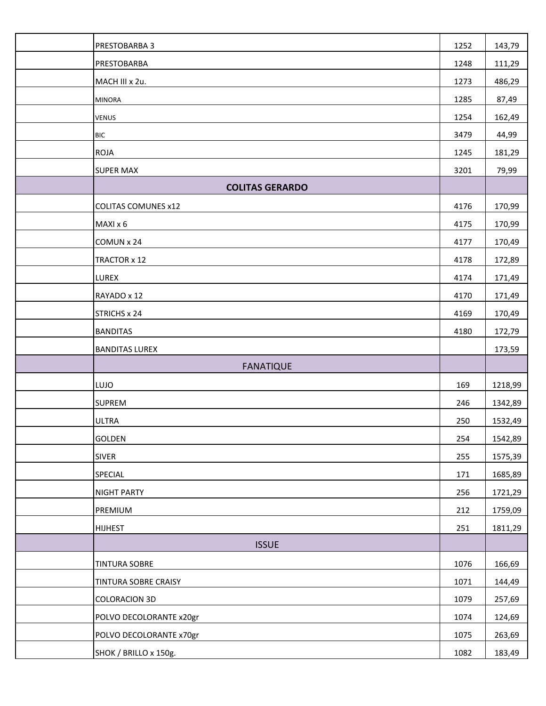| PRESTOBARBA 3              | 1252 | 143,79  |
|----------------------------|------|---------|
| PRESTOBARBA                | 1248 | 111,29  |
| MACH III x 2u.             | 1273 | 486,29  |
| <b>MINORA</b>              | 1285 | 87,49   |
| <b>VENUS</b>               | 1254 | 162,49  |
| <b>BIC</b>                 | 3479 | 44,99   |
| <b>ROJA</b>                | 1245 | 181,29  |
| <b>SUPER MAX</b>           | 3201 | 79,99   |
| <b>COLITAS GERARDO</b>     |      |         |
| <b>COLITAS COMUNES x12</b> | 4176 | 170,99  |
| MAXI x 6                   | 4175 | 170,99  |
| COMUN x 24                 | 4177 | 170,49  |
| TRACTOR x 12               | 4178 | 172,89  |
| LUREX                      | 4174 | 171,49  |
| RAYADO x 12                | 4170 | 171,49  |
| STRICHS x 24               | 4169 | 170,49  |
| <b>BANDITAS</b>            | 4180 | 172,79  |
| <b>BANDITAS LUREX</b>      |      | 173,59  |
| <b>FANATIQUE</b>           |      |         |
| LUJO                       | 169  | 1218,99 |
| <b>SUPREM</b>              | 246  | 1342,89 |
| <b>ULTRA</b>               | 250  | 1532,49 |
| GOLDEN                     | 254  | 1542,89 |
| <b>SIVER</b>               | 255  | 1575,39 |
| SPECIAL                    | 171  | 1685,89 |
| NIGHT PARTY                | 256  | 1721,29 |
| PREMIUM                    | 212  | 1759,09 |
| <b>HIJHEST</b>             | 251  | 1811,29 |
| <b>ISSUE</b>               |      |         |
| TINTURA SOBRE              | 1076 | 166,69  |
| TINTURA SOBRE CRAISY       | 1071 | 144,49  |
| <b>COLORACION 3D</b>       | 1079 | 257,69  |
| POLVO DECOLORANTE x20gr    | 1074 | 124,69  |
| POLVO DECOLORANTE x70gr    | 1075 | 263,69  |
| SHOK / BRILLO x 150g.      | 1082 | 183,49  |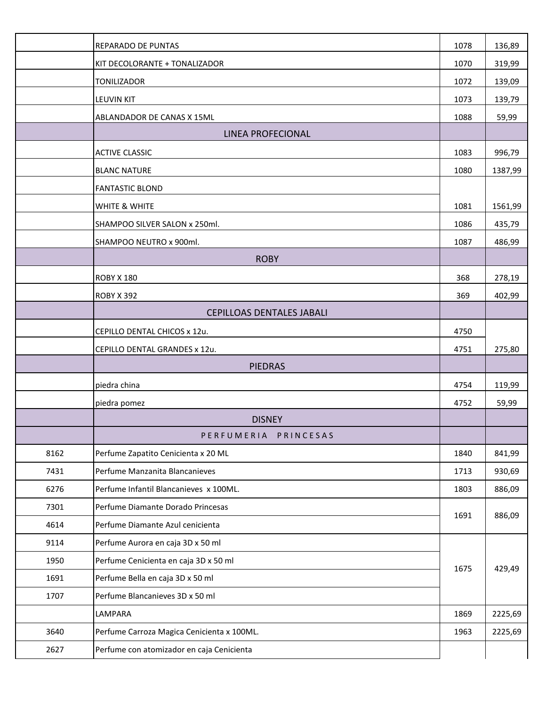|      | REPARADO DE PUNTAS                         | 1078 | 136,89  |
|------|--------------------------------------------|------|---------|
|      | KIT DECOLORANTE + TONALIZADOR              | 1070 | 319,99  |
|      | <b>TONILIZADOR</b>                         | 1072 | 139,09  |
|      | LEUVIN KIT                                 | 1073 | 139,79  |
|      | ABLANDADOR DE CANAS X 15ML                 | 1088 | 59,99   |
|      | LINEA PROFECIONAL                          |      |         |
|      | <b>ACTIVE CLASSIC</b>                      | 1083 | 996,79  |
|      | <b>BLANC NATURE</b>                        | 1080 | 1387,99 |
|      | <b>FANTASTIC BLOND</b>                     |      |         |
|      | WHITE & WHITE                              | 1081 | 1561,99 |
|      | SHAMPOO SILVER SALON x 250ml.              | 1086 | 435,79  |
|      | SHAMPOO NEUTRO x 900ml.                    | 1087 | 486,99  |
|      | <b>ROBY</b>                                |      |         |
|      | <b>ROBY X 180</b>                          | 368  | 278,19  |
|      | <b>ROBY X 392</b>                          | 369  | 402,99  |
|      | <b>CEPILLOAS DENTALES JABALI</b>           |      |         |
|      | CEPILLO DENTAL CHICOS x 12u.               | 4750 |         |
|      | CEPILLO DENTAL GRANDES x 12u.              | 4751 | 275,80  |
|      | <b>PIEDRAS</b>                             |      |         |
|      | piedra china                               | 4754 | 119,99  |
|      | piedra pomez                               | 4752 | 59,99   |
|      | <b>DISNEY</b>                              |      |         |
|      | PERFUMERIA PRINCESAS                       |      |         |
| 8162 | Perfume Zapatito Cenicienta x 20 ML        | 1840 | 841,99  |
| 7431 | Perfume Manzanita Blancanieves             | 1713 | 930,69  |
| 6276 | Perfume Infantil Blancanieves x 100ML.     | 1803 | 886,09  |
| 7301 | Perfume Diamante Dorado Princesas          | 1691 | 886,09  |
| 4614 | Perfume Diamante Azul cenicienta           |      |         |
| 9114 | Perfume Aurora en caja 3D x 50 ml          |      |         |
| 1950 | Perfume Cenicienta en caja 3D x 50 ml      | 1675 | 429,49  |
| 1691 | Perfume Bella en caja 3D x 50 ml           |      |         |
| 1707 | Perfume Blancanieves 3D x 50 ml            |      |         |
|      | LAMPARA                                    | 1869 | 2225,69 |
| 3640 | Perfume Carroza Magica Cenicienta x 100ML. | 1963 | 2225,69 |
| 2627 | Perfume con atomizador en caja Cenicienta  |      |         |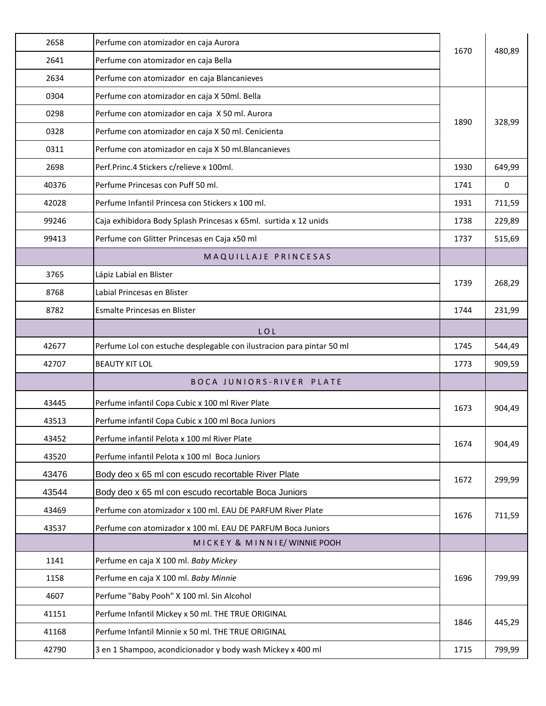| 2658  | Perfume con atomizador en caja Aurora                                 | 1670 | 480,89 |
|-------|-----------------------------------------------------------------------|------|--------|
| 2641  | Perfume con atomizador en caja Bella                                  |      |        |
| 2634  | Perfume con atomizador en caja Blancanieves                           |      |        |
| 0304  | Perfume con atomizador en caja X 50ml. Bella                          |      | 328,99 |
| 0298  | Perfume con atomizador en caja X 50 ml. Aurora                        | 1890 |        |
| 0328  | Perfume con atomizador en caja X 50 ml. Cenicienta                    |      |        |
| 0311  | Perfume con atomizador en caja X 50 ml. Blancanieves                  |      |        |
| 2698  | Perf.Princ.4 Stickers c/relieve x 100ml.                              | 1930 | 649,99 |
| 40376 | Perfume Princesas con Puff 50 ml.                                     | 1741 | 0      |
| 42028 | Perfume Infantil Princesa con Stickers x 100 ml.                      | 1931 | 711,59 |
| 99246 | Caja exhibidora Body Splash Princesas x 65ml. surtida x 12 unids      | 1738 | 229,89 |
| 99413 | Perfume con Glitter Princesas en Caja x50 ml                          | 1737 | 515,69 |
|       | MAQUILLAJE PRINCESAS                                                  |      |        |
| 3765  | Lápiz Labial en Blister                                               |      |        |
| 8768  | Labial Princesas en Blister                                           | 1739 | 268,29 |
| 8782  | Esmalte Princesas en Blister                                          | 1744 | 231,99 |
|       | LOL                                                                   |      |        |
| 42677 | Perfume Lol con estuche desplegable con ilustracion para pintar 50 ml | 1745 | 544,49 |
| 42707 | <b>BEAUTY KIT LOL</b>                                                 | 1773 | 909,59 |
|       | BOCA JUNIORS-RIVER PLATE                                              |      |        |
| 43445 | Perfume infantil Copa Cubic x 100 ml River Plate                      | 1673 | 904,49 |
| 43513 | Perfume infantil Copa Cubic x 100 ml Boca Juniors                     |      |        |
| 43452 | Perfume infantil Pelota x 100 ml River Plate                          |      | 904,49 |
| 43520 | Perfume infantil Pelota x 100 ml Boca Juniors                         | 1674 |        |
| 43476 | Body deo x 65 ml con escudo recortable River Plate                    | 1672 | 299,99 |
| 43544 | Body deo x 65 ml con escudo recortable Boca Juniors                   |      |        |
| 43469 | Perfume con atomizador x 100 ml. EAU DE PARFUM River Plate            | 1676 |        |
| 43537 | Perfume con atomizador x 100 ml. EAU DE PARFUM Boca Juniors           |      | 711,59 |
|       | MICKEY & MINNIE/ WINNIE POOH                                          |      |        |
| 1141  | Perfume en caja X 100 ml. Baby Mickey                                 |      |        |
| 1158  | Perfume en caja X 100 ml. Baby Minnie                                 | 1696 | 799,99 |
| 4607  | Perfume "Baby Pooh" X 100 ml. Sin Alcohol                             |      |        |
| 41151 | Perfume Infantil Mickey x 50 ml. THE TRUE ORIGINAL                    | 1846 | 445,29 |
| 41168 | Perfume Infantil Minnie x 50 ml. THE TRUE ORIGINAL                    |      |        |
| 42790 | 3 en 1 Shampoo, acondicionador y body wash Mickey x 400 ml            | 1715 | 799,99 |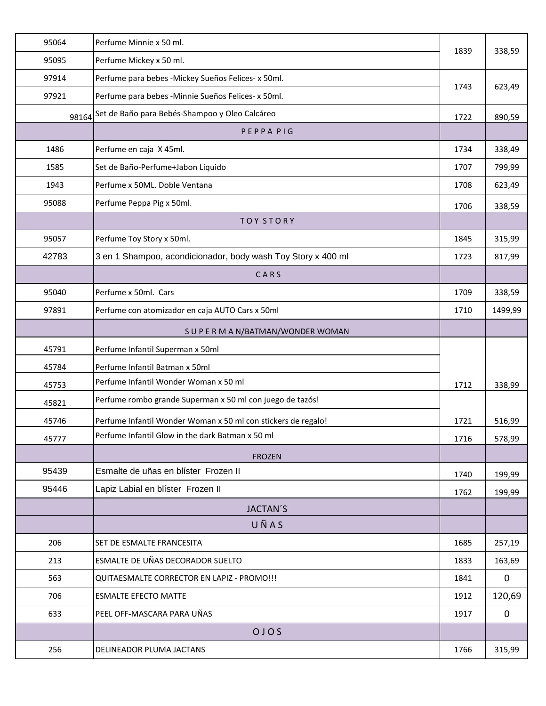| 95064 | Perfume Minnie x 50 ml.                                       | 1839 | 338,59      |
|-------|---------------------------------------------------------------|------|-------------|
| 95095 | Perfume Mickey x 50 ml.                                       |      |             |
| 97914 | Perfume para bebes -Mickey Sueños Felices- x 50ml.            | 1743 | 623,49      |
| 97921 | Perfume para bebes -Minnie Sueños Felices- x 50ml.            |      |             |
| 98164 | Set de Baño para Bebés-Shampoo y Oleo Calcáreo                | 1722 | 890,59      |
|       | PEPPA PIG                                                     |      |             |
| 1486  | Perfume en caja X 45ml.                                       | 1734 | 338,49      |
| 1585  | Set de Baño-Perfume+Jabon Liquido                             | 1707 | 799,99      |
| 1943  | Perfume x 50ML. Doble Ventana                                 | 1708 | 623,49      |
| 95088 | Perfume Peppa Pig x 50ml.                                     | 1706 | 338,59      |
|       | <b>TOY STORY</b>                                              |      |             |
| 95057 | Perfume Toy Story x 50ml.                                     | 1845 | 315,99      |
| 42783 | 3 en 1 Shampoo, acondicionador, body wash Toy Story x 400 ml  | 1723 | 817,99      |
|       | CARS                                                          |      |             |
| 95040 | Perfume x 50ml. Cars                                          | 1709 | 338,59      |
| 97891 | Perfume con atomizador en caja AUTO Cars x 50ml               | 1710 | 1499,99     |
|       | SUPERMAN/BATMAN/WONDERWOMAN                                   |      |             |
| 45791 | Perfume Infantil Superman x 50ml                              |      |             |
| 45784 | Perfume Infantil Batman x 50ml                                |      |             |
| 45753 | Perfume Infantil Wonder Woman x 50 ml                         | 1712 | 338,99      |
| 45821 | Perfume rombo grande Superman x 50 ml con juego de tazós!     |      |             |
| 45746 | Perfume Infantil Wonder Woman x 50 ml con stickers de regalo! | 1721 | 516,99      |
| 45777 | Perfume Infantil Glow in the dark Batman x 50 ml              | 1716 | 578,99      |
|       | <b>FROZEN</b>                                                 |      |             |
| 95439 | Esmalte de uñas en blíster Frozen II                          | 1740 | 199,99      |
| 95446 | Lapiz Labial en blíster Frozen II                             | 1762 | 199,99      |
|       | <b>JACTAN'S</b>                                               |      |             |
|       | UÑAS                                                          |      |             |
| 206   | SET DE ESMALTE FRANCESITA                                     | 1685 | 257,19      |
| 213   | ESMALTE DE UÑAS DECORADOR SUELTO                              | 1833 | 163,69      |
| 563   | QUITAESMALTE CORRECTOR EN LAPIZ - PROMO!!!                    | 1841 | $\mathbf 0$ |
| 706   | <b>ESMALTE EFECTO MATTE</b>                                   | 1912 | 120,69      |
| 633   | PEEL OFF-MASCARA PARA UÑAS                                    | 1917 | $\mathbf 0$ |
|       | OJOS                                                          |      |             |
| 256   | DELINEADOR PLUMA JACTANS                                      | 1766 | 315,99      |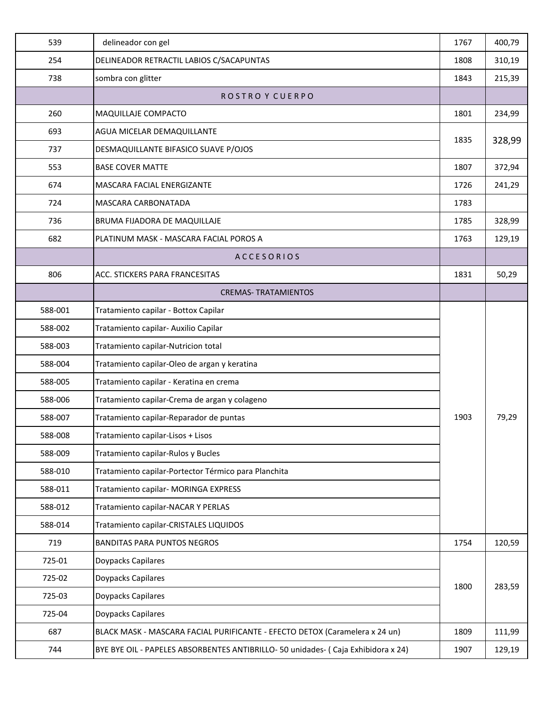| 539     | delineador con gel                                                                | 1767 | 400,79 |
|---------|-----------------------------------------------------------------------------------|------|--------|
| 254     | DELINEADOR RETRACTIL LABIOS C/SACAPUNTAS                                          | 1808 | 310,19 |
| 738     | sombra con glitter                                                                | 1843 | 215,39 |
|         | ROSTRO Y CUERPO                                                                   |      |        |
| 260     | MAQUILLAJE COMPACTO                                                               | 1801 | 234,99 |
| 693     | <b>AGUA MICELAR DEMAQUILLANTE</b>                                                 |      | 328,99 |
| 737     | DESMAQUILLANTE BIFASICO SUAVE P/OJOS                                              | 1835 |        |
| 553     | <b>BASE COVER MATTE</b>                                                           | 1807 | 372,94 |
| 674     | MASCARA FACIAL ENERGIZANTE                                                        | 1726 | 241,29 |
| 724     | MASCARA CARBONATADA                                                               | 1783 |        |
| 736     | BRUMA FIJADORA DE MAQUILLAJE                                                      | 1785 | 328,99 |
| 682     | PLATINUM MASK - MASCARA FACIAL POROS A                                            | 1763 | 129,19 |
|         | <b>ACCESORIOS</b>                                                                 |      |        |
| 806     | ACC. STICKERS PARA FRANCESITAS                                                    | 1831 | 50,29  |
|         | <b>CREMAS- TRATAMIENTOS</b>                                                       |      |        |
| 588-001 | Tratamiento capilar - Bottox Capilar                                              |      |        |
| 588-002 | Tratamiento capilar- Auxilio Capilar                                              |      | 79,29  |
| 588-003 | Tratamiento capilar-Nutricion total                                               |      |        |
| 588-004 | Tratamiento capilar-Oleo de argan y keratina                                      |      |        |
| 588-005 | Tratamiento capilar - Keratina en crema                                           |      |        |
| 588-006 | Tratamiento capilar-Crema de argan y colageno                                     |      |        |
| 588-007 | Tratamiento capilar-Reparador de puntas                                           | 1903 |        |
| 588-008 | Tratamiento capilar-Lisos + Lisos                                                 |      |        |
| 588-009 | Tratamiento capilar-Rulos y Bucles                                                |      |        |
| 588-010 | Tratamiento capilar-Portector Térmico para Planchita                              |      |        |
| 588-011 | Tratamiento capilar- MORINGA EXPRESS                                              |      |        |
| 588-012 | Tratamiento capilar-NACAR Y PERLAS                                                |      |        |
| 588-014 | Tratamiento capilar-CRISTALES LIQUIDOS                                            |      |        |
| 719     | <b>BANDITAS PARA PUNTOS NEGROS</b>                                                | 1754 | 120,59 |
| 725-01  | Doypacks Capilares                                                                |      |        |
| 725-02  | Doypacks Capilares                                                                | 1800 |        |
| 725-03  | Doypacks Capilares                                                                |      | 283,59 |
| 725-04  | Doypacks Capilares                                                                |      |        |
| 687     | BLACK MASK - MASCARA FACIAL PURIFICANTE - EFECTO DETOX (Caramelera x 24 un)       | 1809 | 111,99 |
| 744     | BYE BYE OIL - PAPELES ABSORBENTES ANTIBRILLO-50 unidades- ( Caja Exhibidora x 24) | 1907 | 129,19 |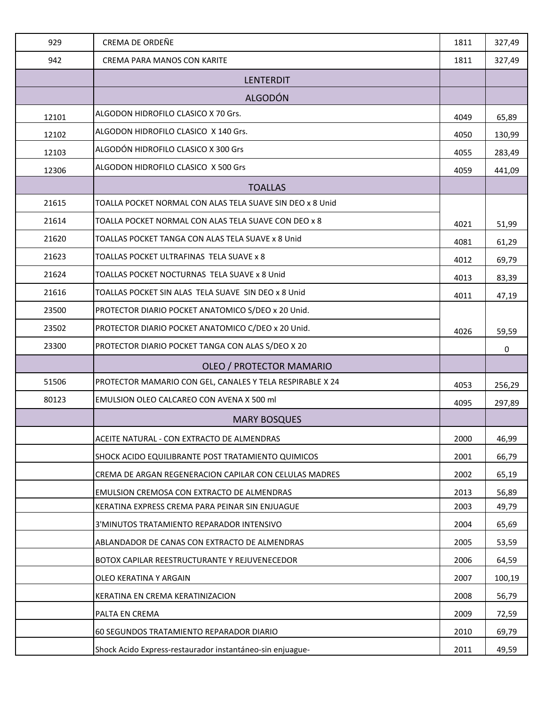| 929   | CREMA DE ORDEÑE                                           | 1811 | 327,49 |
|-------|-----------------------------------------------------------|------|--------|
| 942   | CREMA PARA MANOS CON KARITE                               | 1811 | 327,49 |
|       | <b>LENTERDIT</b>                                          |      |        |
|       | <b>ALGODÓN</b>                                            |      |        |
| 12101 | ALGODON HIDROFILO CLASICO X 70 Grs.                       | 4049 | 65,89  |
| 12102 | ALGODON HIDROFILO CLASICO X 140 Grs.                      | 4050 | 130,99 |
| 12103 | ALGODÓN HIDROFILO CLASICO X 300 Grs                       | 4055 | 283,49 |
| 12306 | ALGODON HIDROFILO CLASICO X 500 Grs                       | 4059 | 441,09 |
|       | <b>TOALLAS</b>                                            |      |        |
| 21615 | TOALLA POCKET NORMAL CON ALAS TELA SUAVE SIN DEO x 8 Unid |      |        |
| 21614 | TOALLA POCKET NORMAL CON ALAS TELA SUAVE CON DEO x 8      | 4021 | 51,99  |
| 21620 | TOALLAS POCKET TANGA CON ALAS TELA SUAVE x 8 Unid         | 4081 | 61,29  |
| 21623 | TOALLAS POCKET ULTRAFINAS TELA SUAVE x 8                  | 4012 | 69,79  |
| 21624 | TOALLAS POCKET NOCTURNAS TELA SUAVE x 8 Unid              | 4013 | 83,39  |
| 21616 | TOALLAS POCKET SIN ALAS TELA SUAVE SIN DEO x 8 Unid       | 4011 | 47,19  |
| 23500 | PROTECTOR DIARIO POCKET ANATOMICO S/DEO x 20 Unid.        |      |        |
| 23502 | PROTECTOR DIARIO POCKET ANATOMICO C/DEO x 20 Unid.        | 4026 | 59,59  |
| 23300 | PROTECTOR DIARIO POCKET TANGA CON ALAS S/DEO X 20         |      | 0      |
|       | OLEO / PROTECTOR MAMARIO                                  |      |        |
| 51506 | PROTECTOR MAMARIO CON GEL, CANALES Y TELA RESPIRABLE X 24 | 4053 | 256,29 |
| 80123 | EMULSION OLEO CALCAREO CON AVENA X 500 ml                 | 4095 | 297,89 |
|       | <b>MARY BOSQUES</b>                                       |      |        |
|       | ACEITE NATURAL - CON EXTRACTO DE ALMENDRAS                | 2000 | 46,99  |
|       | SHOCK ACIDO EQUILIBRANTE POST TRATAMIENTO QUIMICOS        | 2001 | 66,79  |
|       | CREMA DE ARGAN REGENERACION CAPILAR CON CELULAS MADRES    | 2002 | 65,19  |
|       | EMULSION CREMOSA CON EXTRACTO DE ALMENDRAS                | 2013 | 56,89  |
|       | KERATINA EXPRESS CREMA PARA PEINAR SIN ENJUAGUE           | 2003 | 49,79  |
|       | 3'MINUTOS TRATAMIENTO REPARADOR INTENSIVO                 | 2004 | 65,69  |
|       | ABLANDADOR DE CANAS CON EXTRACTO DE ALMENDRAS             | 2005 | 53,59  |
|       | BOTOX CAPILAR REESTRUCTURANTE Y REJUVENECEDOR             | 2006 | 64,59  |
|       | OLEO KERATINA Y ARGAIN                                    | 2007 | 100,19 |
|       | KERATINA EN CREMA KERATINIZACION                          | 2008 | 56,79  |
|       | PALTA EN CREMA                                            | 2009 | 72,59  |
|       | 60 SEGUNDOS TRATAMIENTO REPARADOR DIARIO                  | 2010 | 69,79  |
|       | Shock Acido Express-restaurador instantáneo-sin enjuague- | 2011 | 49,59  |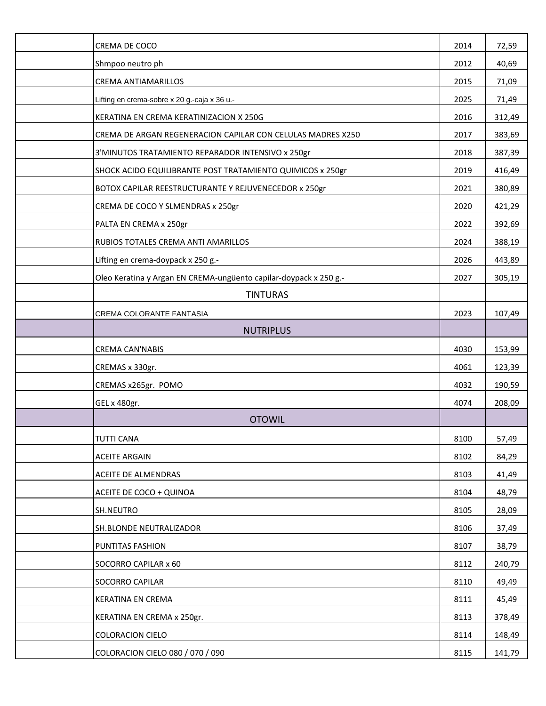| CREMA DE COCO                                                      | 2014 | 72,59  |
|--------------------------------------------------------------------|------|--------|
| Shmpoo neutro ph                                                   | 2012 | 40,69  |
| <b>CREMA ANTIAMARILLOS</b>                                         | 2015 | 71,09  |
| Lifting en crema-sobre x 20 g.-caja x 36 u.-                       | 2025 | 71,49  |
| KERATINA EN CREMA KERATINIZACION X 250G                            | 2016 | 312,49 |
| CREMA DE ARGAN REGENERACION CAPILAR CON CELULAS MADRES X250        | 2017 | 383,69 |
| 3'MINUTOS TRATAMIENTO REPARADOR INTENSIVO x 250gr                  | 2018 | 387,39 |
| SHOCK ACIDO EQUILIBRANTE POST TRATAMIENTO QUIMICOS x 250gr         | 2019 | 416,49 |
| BOTOX CAPILAR REESTRUCTURANTE Y REJUVENECEDOR x 250gr              | 2021 | 380,89 |
| CREMA DE COCO Y SLMENDRAS x 250gr                                  | 2020 | 421,29 |
| PALTA EN CREMA x 250gr                                             | 2022 | 392,69 |
| RUBIOS TOTALES CREMA ANTI AMARILLOS                                | 2024 | 388,19 |
| Lifting en crema-doypack x 250 g.-                                 | 2026 | 443,89 |
| Oleo Keratina y Argan EN CREMA-ungüento capilar-doypack x 250 g .- | 2027 | 305,19 |
| <b>TINTURAS</b>                                                    |      |        |
| CREMA COLORANTE FANTASIA                                           | 2023 | 107,49 |
| <b>NUTRIPLUS</b>                                                   |      |        |
| <b>CREMA CAN'NABIS</b>                                             | 4030 | 153,99 |
| CREMAS x 330gr.                                                    | 4061 | 123,39 |
| CREMAS x265gr. POMO                                                | 4032 | 190,59 |
| GEL x 480gr.                                                       | 4074 | 208,09 |
| <b>OTOWIL</b>                                                      |      |        |
| <b>TUTTI CANA</b>                                                  | 8100 | 57,49  |
| <b>ACEITE ARGAIN</b>                                               | 8102 | 84,29  |
| ACEITE DE ALMENDRAS                                                | 8103 | 41,49  |
| ACEITE DE COCO + QUINOA                                            | 8104 | 48,79  |
| SH.NEUTRO                                                          | 8105 | 28,09  |
| <b>SH.BLONDE NEUTRALIZADOR</b>                                     | 8106 | 37,49  |
| PUNTITAS FASHION                                                   | 8107 | 38,79  |
| SOCORRO CAPILAR x 60                                               | 8112 | 240,79 |
| SOCORRO CAPILAR                                                    | 8110 | 49,49  |
| KERATINA EN CREMA                                                  | 8111 | 45,49  |
| KERATINA EN CREMA x 250gr.                                         | 8113 | 378,49 |
| <b>COLORACION CIELO</b>                                            | 8114 | 148,49 |
| COLORACION CIELO 080 / 070 / 090                                   | 8115 | 141,79 |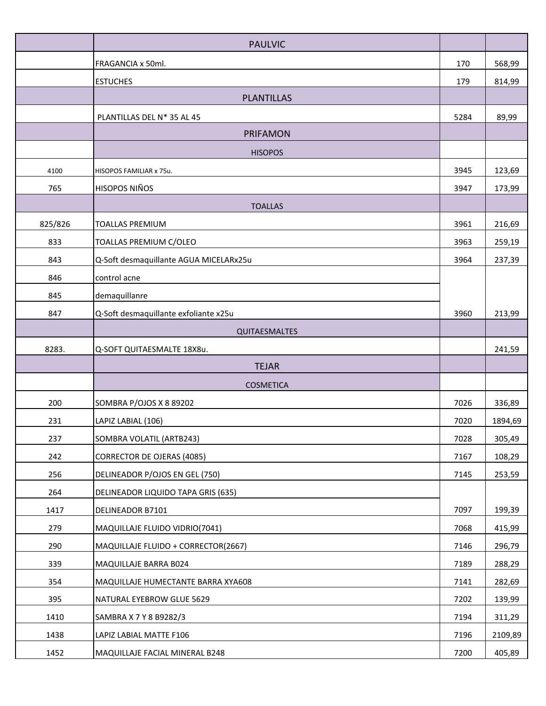|         | <b>PAULVIC</b>                         |      |         |
|---------|----------------------------------------|------|---------|
|         | FRAGANCIA x 50ml.                      | 170  | 568,99  |
|         | <b>ESTUCHES</b>                        | 179  | 814,99  |
|         | <b>PLANTILLAS</b>                      |      |         |
|         | PLANTILLAS DEL N* 35 AL 45             | 5284 | 89,99   |
|         | <b>PRIFAMON</b>                        |      |         |
|         | <b>HISOPOS</b>                         |      |         |
| 4100    | HISOPOS FAMILIAR x 75u.                | 3945 | 123,69  |
| 765     | <b>HISOPOS NIÑOS</b>                   | 3947 | 173,99  |
|         | <b>TOALLAS</b>                         |      |         |
| 825/826 | <b>TOALLAS PREMIUM</b>                 | 3961 | 216,69  |
| 833     | TOALLAS PREMIUM C/OLEO                 | 3963 | 259,19  |
| 843     | Q-Soft desmaquillante AGUA MICELARx25u | 3964 | 237,39  |
| 846     | control acne                           |      |         |
| 845     | demaquillanre                          |      |         |
| 847     | Q-Soft desmaquillante exfoliante x25u  | 3960 | 213,99  |
|         | QUITAESMALTES                          |      |         |
| 8283.   | Q-SOFT QUITAESMALTE 18X8u.             |      | 241,59  |
|         | <b>TEJAR</b>                           |      |         |
|         | <b>COSMETICA</b>                       |      |         |
| 200     | SOMBRA P/OJOS X 8 89202                | 7026 | 336,89  |
| 231     | LAPIZ LABIAL (106)                     | 7020 | 1894,69 |
| 237     | SOMBRA VOLATIL (ARTB243)               | 7028 | 305,49  |
| 242     | <b>CORRECTOR DE OJERAS (4085)</b>      | 7167 | 108,29  |
| 256     | DELINEADOR P/OJOS EN GEL (750)         | 7145 | 253,59  |
| 264     | DELINEADOR LIQUIDO TAPA GRIS (635)     |      |         |
| 1417    | DELINEADOR B7101                       | 7097 | 199,39  |
| 279     | MAQUILLAJE FLUIDO VIDRIO(7041)         | 7068 | 415,99  |
| 290     | MAQUILLAJE FLUIDO + CORRECTOR(2667)    | 7146 | 296,79  |
| 339     | MAQUILLAJE BARRA B024                  | 7189 | 288,29  |
| 354     | MAQUILLAJE HUMECTANTE BARRA XYA608     | 7141 | 282,69  |
| 395     | NATURAL EYEBROW GLUE 5629              | 7202 | 139,99  |
| 1410    | SAMBRA X 7 Y 8 B9282/3                 | 7194 | 311,29  |
| 1438    | LAPIZ LABIAL MATTE F106                | 7196 | 2109,89 |
| 1452    | MAQUILLAJE FACIAL MINERAL B248         | 7200 | 405,89  |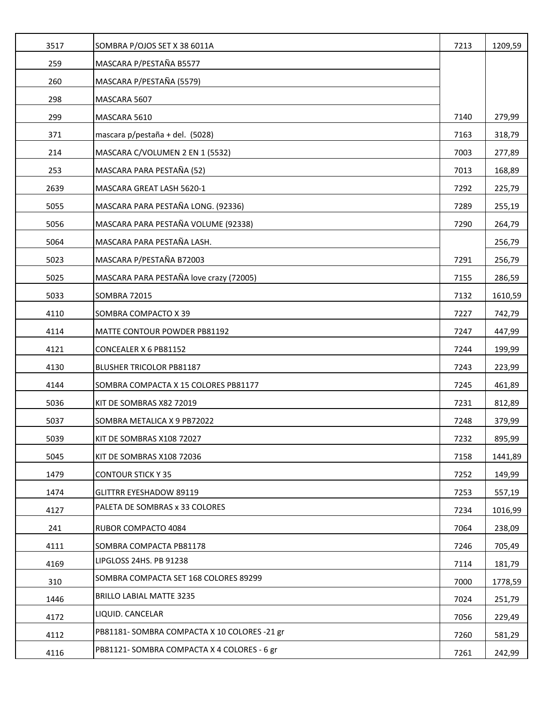| 3517 | SOMBRA P/OJOS SET X 38 6011A                 | 7213 | 1209,59 |
|------|----------------------------------------------|------|---------|
| 259  | MASCARA P/PESTAÑA B5577                      |      |         |
| 260  | MASCARA P/PESTAÑA (5579)                     |      |         |
| 298  | MASCARA 5607                                 |      |         |
| 299  | MASCARA 5610                                 | 7140 | 279,99  |
| 371  | mascara p/pestaña + del. (5028)              | 7163 | 318,79  |
| 214  | MASCARA C/VOLUMEN 2 EN 1 (5532)              | 7003 | 277,89  |
| 253  | MASCARA PARA PESTAÑA (52)                    | 7013 | 168,89  |
| 2639 | MASCARA GREAT LASH 5620-1                    | 7292 | 225,79  |
| 5055 | MASCARA PARA PESTAÑA LONG. (92336)           | 7289 | 255,19  |
| 5056 | MASCARA PARA PESTAÑA VOLUME (92338)          | 7290 | 264,79  |
| 5064 | MASCARA PARA PESTAÑA LASH.                   |      | 256,79  |
| 5023 | MASCARA P/PESTAÑA B72003                     | 7291 | 256,79  |
| 5025 | MASCARA PARA PESTAÑA love crazy (72005)      | 7155 | 286,59  |
| 5033 | <b>SOMBRA 72015</b>                          | 7132 | 1610,59 |
| 4110 | SOMBRA COMPACTO X 39                         | 7227 | 742,79  |
| 4114 | MATTE CONTOUR POWDER PB81192                 | 7247 | 447,99  |
| 4121 | CONCEALER X 6 PB81152                        | 7244 | 199,99  |
| 4130 | BLUSHER TRICOLOR PB81187                     | 7243 | 223,99  |
| 4144 | SOMBRA COMPACTA X 15 COLORES PB81177         | 7245 | 461,89  |
| 5036 | KIT DE SOMBRAS X82 72019                     | 7231 | 812,89  |
| 5037 | SOMBRA METALICA X 9 PB72022                  | 7248 | 379,99  |
| 5039 | KIT DE SOMBRAS X108 72027                    | 7232 | 895,99  |
| 5045 | KIT DE SOMBRAS X108 72036                    | 7158 | 1441,89 |
| 1479 | <b>CONTOUR STICK Y 35</b>                    | 7252 | 149,99  |
| 1474 | <b>GLITTRR EYESHADOW 89119</b>               | 7253 | 557,19  |
| 4127 | PALETA DE SOMBRAS x 33 COLORES               | 7234 | 1016,99 |
| 241  | RUBOR COMPACTO 4084                          | 7064 | 238,09  |
| 4111 | SOMBRA COMPACTA PB81178                      | 7246 | 705,49  |
| 4169 | LIPGLOSS 24HS. PB 91238                      | 7114 | 181,79  |
| 310  | SOMBRA COMPACTA SET 168 COLORES 89299        | 7000 | 1778,59 |
| 1446 | <b>BRILLO LABIAL MATTE 3235</b>              | 7024 | 251,79  |
| 4172 | LIQUID. CANCELAR                             | 7056 | 229,49  |
| 4112 | PB81181- SOMBRA COMPACTA X 10 COLORES -21 gr | 7260 | 581,29  |
| 4116 | PB81121-SOMBRA COMPACTA X 4 COLORES - 6 gr   | 7261 | 242,99  |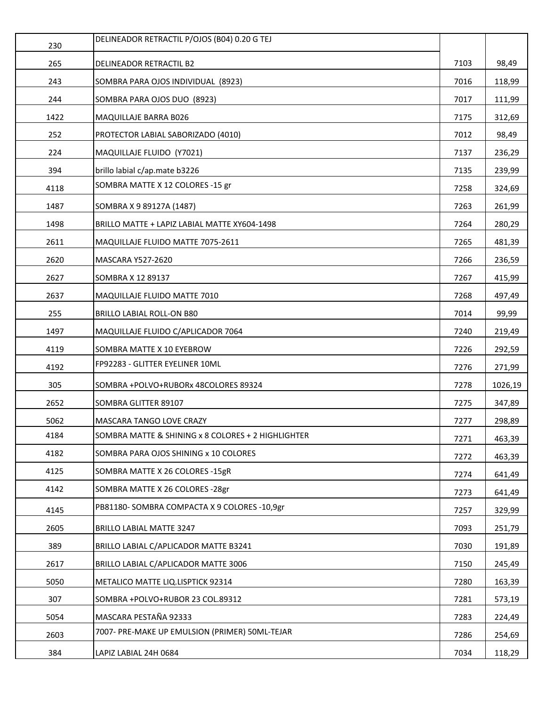| 230  | DELINEADOR RETRACTIL P/OJOS (B04) 0.20 G TEJ       |      |         |
|------|----------------------------------------------------|------|---------|
| 265  | DELINEADOR RETRACTIL B2                            | 7103 | 98,49   |
| 243  | SOMBRA PARA OJOS INDIVIDUAL (8923)                 | 7016 | 118,99  |
| 244  | SOMBRA PARA OJOS DUO (8923)                        | 7017 | 111,99  |
| 1422 | MAQUILLAJE BARRA B026                              | 7175 | 312,69  |
| 252  | PROTECTOR LABIAL SABORIZADO (4010)                 | 7012 | 98,49   |
| 224  | MAQUILLAJE FLUIDO (Y7021)                          | 7137 | 236,29  |
| 394  | brillo labial c/ap.mate b3226                      | 7135 | 239,99  |
| 4118 | SOMBRA MATTE X 12 COLORES -15 gr                   | 7258 | 324,69  |
| 1487 | SOMBRA X 9 89127A (1487)                           | 7263 | 261,99  |
| 1498 | BRILLO MATTE + LAPIZ LABIAL MATTE XY604-1498       | 7264 | 280,29  |
| 2611 | MAQUILLAJE FLUIDO MATTE 7075-2611                  | 7265 | 481,39  |
| 2620 | <b>MASCARA Y527-2620</b>                           | 7266 | 236,59  |
| 2627 | SOMBRA X 12 89137                                  | 7267 | 415,99  |
| 2637 | MAQUILLAJE FLUIDO MATTE 7010                       | 7268 | 497,49  |
| 255  | BRILLO LABIAL ROLL-ON B80                          | 7014 | 99,99   |
| 1497 | MAQUILLAJE FLUIDO C/APLICADOR 7064                 | 7240 | 219,49  |
| 4119 | SOMBRA MATTE X 10 EYEBROW                          | 7226 | 292,59  |
| 4192 | FP92283 - GLITTER EYELINER 10ML                    | 7276 | 271,99  |
| 305  | SOMBRA +POLVO+RUBORx 48COLORES 89324               | 7278 | 1026,19 |
| 2652 | SOMBRA GLITTER 89107                               | 7275 | 347,89  |
| 5062 | MASCARA TANGO LOVE CRAZY                           | 7277 | 298,89  |
| 4184 | SOMBRA MATTE & SHINING x 8 COLORES + 2 HIGHLIGHTER | 7271 | 463,39  |
| 4182 | SOMBRA PARA OJOS SHINING x 10 COLORES              | 7272 | 463,39  |
| 4125 | SOMBRA MATTE X 26 COLORES -15gR                    | 7274 | 641,49  |
| 4142 | SOMBRA MATTE X 26 COLORES - 28gr                   | 7273 | 641,49  |
| 4145 | PB81180-SOMBRA COMPACTA X 9 COLORES -10,9gr        | 7257 | 329,99  |
| 2605 | <b>BRILLO LABIAL MATTE 3247</b>                    | 7093 | 251,79  |
| 389  | BRILLO LABIAL C/APLICADOR MATTE B3241              | 7030 | 191,89  |
| 2617 | BRILLO LABIAL C/APLICADOR MATTE 3006               | 7150 | 245,49  |
| 5050 | METALICO MATTE LIQ.LISPTICK 92314                  | 7280 | 163,39  |
| 307  | SOMBRA +POLVO+RUBOR 23 COL.89312                   | 7281 | 573,19  |
| 5054 | MASCARA PESTAÑA 92333                              | 7283 | 224,49  |
| 2603 | 7007- PRE-MAKE UP EMULSION (PRIMER) 50ML-TEJAR     | 7286 | 254,69  |
| 384  | LAPIZ LABIAL 24H 0684                              | 7034 | 118,29  |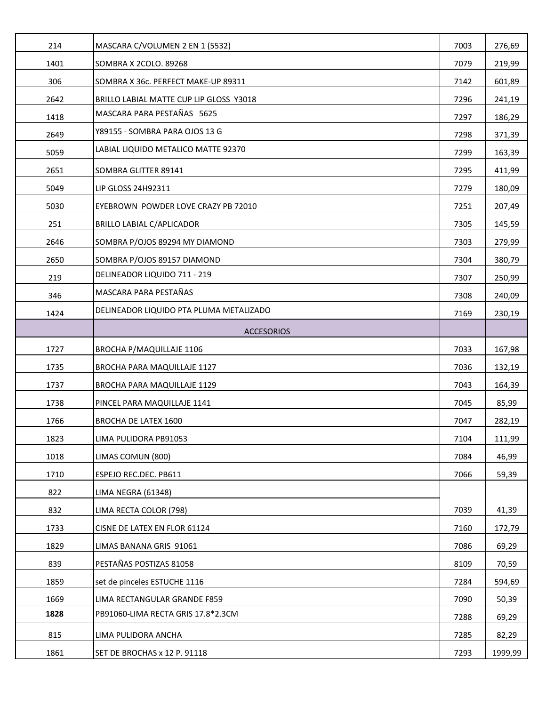| 214  | MASCARA C/VOLUMEN 2 EN 1 (5532)         | 7003 | 276,69  |
|------|-----------------------------------------|------|---------|
| 1401 | SOMBRA X 2COLO. 89268                   | 7079 | 219,99  |
| 306  | SOMBRA X 36c. PERFECT MAKE-UP 89311     | 7142 | 601,89  |
| 2642 | BRILLO LABIAL MATTE CUP LIP GLOSS Y3018 | 7296 | 241,19  |
| 1418 | MASCARA PARA PESTAÑAS 5625              | 7297 | 186,29  |
| 2649 | Y89155 - SOMBRA PARA OJOS 13 G          | 7298 | 371,39  |
| 5059 | LABIAL LIQUIDO METALICO MATTE 92370     | 7299 | 163,39  |
| 2651 | SOMBRA GLITTER 89141                    | 7295 | 411,99  |
| 5049 | LIP GLOSS 24H92311                      | 7279 | 180,09  |
| 5030 | EYEBROWN POWDER LOVE CRAZY PB 72010     | 7251 | 207,49  |
| 251  | BRILLO LABIAL C/APLICADOR               | 7305 | 145,59  |
| 2646 | SOMBRA P/OJOS 89294 MY DIAMOND          | 7303 | 279,99  |
| 2650 | SOMBRA P/OJOS 89157 DIAMOND             | 7304 | 380,79  |
| 219  | DELINEADOR LIQUIDO 711 - 219            | 7307 | 250,99  |
| 346  | MASCARA PARA PESTAÑAS                   | 7308 | 240,09  |
| 1424 | DELINEADOR LIQUIDO PTA PLUMA METALIZADO | 7169 | 230,19  |
|      | <b>ACCESORIOS</b>                       |      |         |
| 1727 | BROCHA P/MAQUILLAJE 1106                | 7033 | 167,98  |
| 1735 | BROCHA PARA MAQUILLAJE 1127             | 7036 | 132,19  |
| 1737 | BROCHA PARA MAQUILLAJE 1129             | 7043 | 164,39  |
| 1738 | PINCEL PARA MAQUILLAJE 1141             | 7045 | 85,99   |
| 1766 | BROCHA DE LATEX 1600                    | 7047 | 282,19  |
| 1823 | LIMA PULIDORA PB91053                   | 7104 | 111,99  |
| 1018 | LIMAS COMUN (800)                       | 7084 | 46,99   |
| 1710 | ESPEJO REC.DEC. PB611                   | 7066 | 59,39   |
| 822  | LIMA NEGRA (61348)                      |      |         |
| 832  | LIMA RECTA COLOR (798)                  | 7039 | 41,39   |
| 1733 | CISNE DE LATEX EN FLOR 61124            | 7160 | 172,79  |
| 1829 | LIMAS BANANA GRIS 91061                 | 7086 | 69,29   |
| 839  | PESTAÑAS POSTIZAS 81058                 | 8109 | 70,59   |
| 1859 | set de pinceles ESTUCHE 1116            | 7284 | 594,69  |
| 1669 | LIMA RECTANGULAR GRANDE F859            | 7090 | 50,39   |
| 1828 | PB91060-LIMA RECTA GRIS 17.8*2.3CM      | 7288 | 69,29   |
| 815  | LIMA PULIDORA ANCHA                     | 7285 | 82,29   |
| 1861 | SET DE BROCHAS x 12 P. 91118            | 7293 | 1999,99 |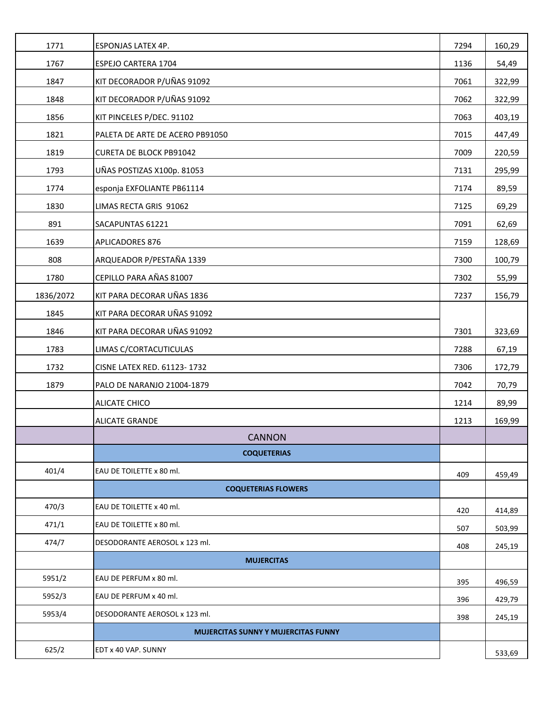| 1771      | ESPONJAS LATEX 4P.                         | 7294 | 160,29 |
|-----------|--------------------------------------------|------|--------|
| 1767      | ESPEJO CARTERA 1704                        | 1136 | 54,49  |
| 1847      | KIT DECORADOR P/UÑAS 91092                 | 7061 | 322,99 |
| 1848      | KIT DECORADOR P/UÑAS 91092                 | 7062 | 322,99 |
| 1856      | KIT PINCELES P/DEC. 91102                  | 7063 | 403,19 |
| 1821      | PALETA DE ARTE DE ACERO PB91050            | 7015 | 447,49 |
| 1819      | <b>CURETA DE BLOCK PB91042</b>             | 7009 | 220,59 |
| 1793      | UÑAS POSTIZAS X100p. 81053                 | 7131 | 295,99 |
| 1774      | esponja EXFOLIANTE PB61114                 | 7174 | 89,59  |
| 1830      | LIMAS RECTA GRIS 91062                     | 7125 | 69,29  |
| 891       | SACAPUNTAS 61221                           | 7091 | 62,69  |
| 1639      | APLICADORES 876                            | 7159 | 128,69 |
| 808       | ARQUEADOR P/PESTAÑA 1339                   | 7300 | 100,79 |
| 1780      | CEPILLO PARA AÑAS 81007                    | 7302 | 55,99  |
| 1836/2072 | KIT PARA DECORAR UÑAS 1836                 | 7237 | 156,79 |
| 1845      | KIT PARA DECORAR UÑAS 91092                |      |        |
| 1846      | KIT PARA DECORAR UÑAS 91092                | 7301 | 323,69 |
| 1783      | LIMAS C/CORTACUTICULAS                     | 7288 | 67,19  |
| 1732      | CISNE LATEX RED. 61123-1732                | 7306 | 172,79 |
| 1879      | PALO DE NARANJO 21004-1879                 | 7042 | 70,79  |
|           | <b>ALICATE CHICO</b>                       | 1214 | 89,99  |
|           | <b>ALICATE GRANDE</b>                      | 1213 | 169,99 |
|           | <b>CANNON</b>                              |      |        |
|           | <b>COQUETERIAS</b>                         |      |        |
| 401/4     | EAU DE TOILETTE x 80 ml.                   | 409  | 459,49 |
|           | <b>COQUETERIAS FLOWERS</b>                 |      |        |
| 470/3     | EAU DE TOILETTE x 40 ml.                   | 420  | 414,89 |
| 471/1     | EAU DE TOILETTE x 80 ml.                   | 507  | 503,99 |
| 474/7     | DESODORANTE AEROSOL x 123 ml.              | 408  | 245,19 |
|           | <b>MUJERCITAS</b>                          |      |        |
| 5951/2    | EAU DE PERFUM x 80 ml.                     | 395  | 496,59 |
| 5952/3    | EAU DE PERFUM x 40 ml.                     | 396  | 429,79 |
| 5953/4    | DESODORANTE AEROSOL x 123 ml.              | 398  | 245,19 |
|           | <b>MUJERCITAS SUNNY Y MUJERCITAS FUNNY</b> |      |        |
| 625/2     | EDT x 40 VAP. SUNNY                        |      | 533,69 |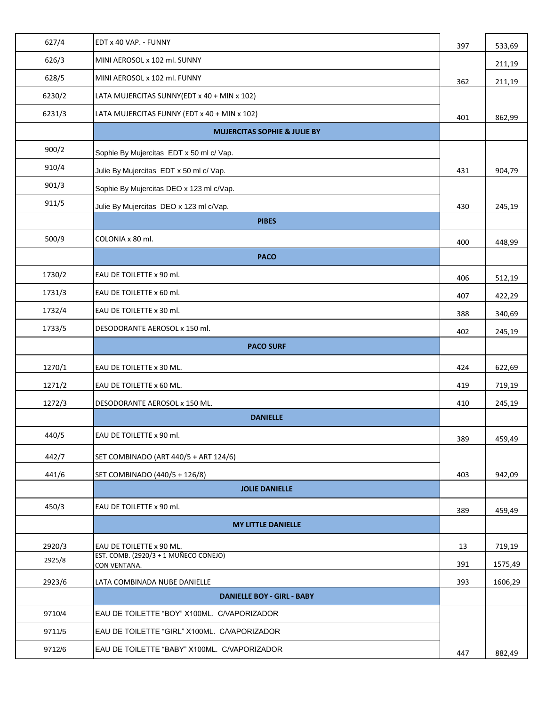| 627/4  | EDT x 40 VAP. - FUNNY                                 | 397 | 533,69  |
|--------|-------------------------------------------------------|-----|---------|
| 626/3  | MINI AEROSOL x 102 ml. SUNNY                          |     | 211,19  |
| 628/5  | MINI AEROSOL x 102 ml. FUNNY                          | 362 | 211,19  |
| 6230/2 | LATA MUJERCITAS SUNNY(EDT x 40 + MIN x 102)           |     |         |
| 6231/3 | LATA MUJERCITAS FUNNY (EDT x 40 + MIN x 102)          | 401 | 862,99  |
|        | <b>MUJERCITAS SOPHIE &amp; JULIE BY</b>               |     |         |
| 900/2  | Sophie By Mujercitas EDT x 50 ml c/ Vap.              |     |         |
| 910/4  | Julie By Mujercitas EDT x 50 ml c/ Vap.               | 431 | 904,79  |
| 901/3  | Sophie By Mujercitas DEO x 123 ml c/Vap.              |     |         |
| 911/5  | Julie By Mujercitas DEO x 123 ml c/Vap.               | 430 | 245,19  |
|        | <b>PIBES</b>                                          |     |         |
| 500/9  | COLONIA x 80 ml.                                      | 400 | 448,99  |
|        | <b>PACO</b>                                           |     |         |
| 1730/2 | EAU DE TOILETTE x 90 ml.                              | 406 | 512,19  |
| 1731/3 | EAU DE TOILETTE x 60 ml.                              | 407 | 422,29  |
| 1732/4 | EAU DE TOILETTE x 30 ml.                              | 388 | 340,69  |
| 1733/5 | DESODORANTE AEROSOL x 150 ml.                         | 402 | 245,19  |
|        | <b>PACO SURF</b>                                      |     |         |
| 1270/1 | EAU DE TOILETTE x 30 ML.                              | 424 | 622,69  |
| 1271/2 | EAU DE TOILETTE x 60 ML.                              | 419 | 719,19  |
| 1272/3 | DESODORANTE AEROSOL x 150 ML.                         | 410 | 245,19  |
|        | <b>DANIELLE</b>                                       |     |         |
| 440/5  | EAU DE TOILETTE x 90 ml.                              | 389 | 459,49  |
| 442/7  | SET COMBINADO (ART 440/5 + ART 124/6)                 |     |         |
| 441/6  | SET COMBINADO (440/5 + 126/8)                         | 403 | 942,09  |
|        | <b>JOLIE DANIELLE</b>                                 |     |         |
| 450/3  | EAU DE TOILETTE x 90 ml.                              | 389 | 459,49  |
|        | <b>MY LITTLE DANIELLE</b>                             |     |         |
| 2920/3 | EAU DE TOILETTE x 90 ML.                              | 13  | 719,19  |
| 2925/8 | EST. COMB. (2920/3 + 1 MUÑECO CONEJO)<br>CON VENTANA. | 391 | 1575,49 |
| 2923/6 | LATA COMBINADA NUBE DANIELLE                          | 393 | 1606,29 |
|        | <b>DANIELLE BOY - GIRL - BABY</b>                     |     |         |
| 9710/4 | EAU DE TOILETTE "BOY" X100ML. C/VAPORIZADOR           |     |         |
| 9711/5 | EAU DE TOILETTE "GIRL" X100ML. C/VAPORIZADOR          |     |         |
| 9712/6 | EAU DE TOILETTE "BABY" X100ML. C/VAPORIZADOR          | 447 | 882,49  |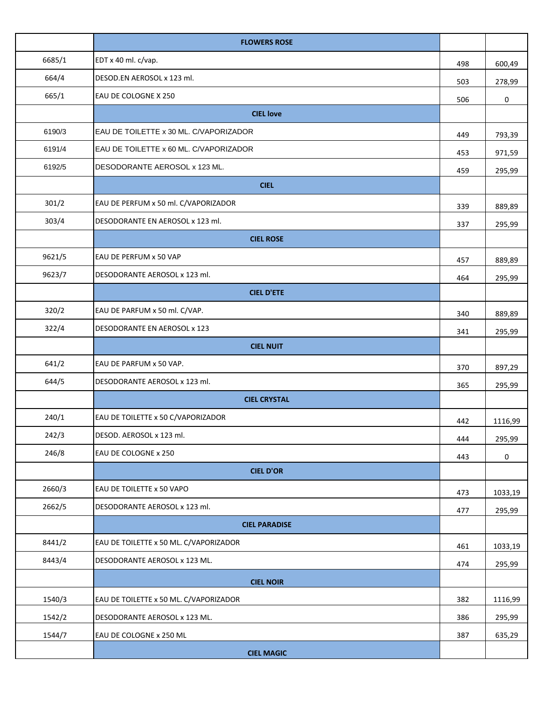|        | <b>FLOWERS ROSE</b>                    |     |         |
|--------|----------------------------------------|-----|---------|
| 6685/1 | EDT x 40 ml. c/vap.                    | 498 | 600,49  |
| 664/4  | DESOD.EN AEROSOL x 123 ml.             | 503 | 278,99  |
| 665/1  | EAU DE COLOGNE X 250                   | 506 | 0       |
|        | <b>CIEL love</b>                       |     |         |
| 6190/3 | EAU DE TOILETTE x 30 ML. C/VAPORIZADOR | 449 | 793,39  |
| 6191/4 | EAU DE TOILETTE x 60 ML. C/VAPORIZADOR | 453 | 971,59  |
| 6192/5 | DESODORANTE AEROSOL x 123 ML.          | 459 | 295,99  |
|        | <b>CIEL</b>                            |     |         |
| 301/2  | EAU DE PERFUM x 50 ml. C/VAPORIZADOR   | 339 | 889,89  |
| 303/4  | DESODORANTE EN AEROSOL x 123 ml.       | 337 | 295,99  |
|        | <b>CIEL ROSE</b>                       |     |         |
| 9621/5 | EAU DE PERFUM x 50 VAP                 | 457 | 889,89  |
| 9623/7 | DESODORANTE AEROSOL x 123 ml.          | 464 | 295,99  |
|        | <b>CIEL D'ETE</b>                      |     |         |
| 320/2  | EAU DE PARFUM x 50 ml. C/VAP.          | 340 | 889,89  |
| 322/4  | DESODORANTE EN AEROSOL x 123           | 341 | 295,99  |
|        | <b>CIEL NUIT</b>                       |     |         |
| 641/2  | EAU DE PARFUM x 50 VAP.                | 370 | 897,29  |
| 644/5  | DESODORANTE AEROSOL x 123 ml.          | 365 | 295,99  |
|        | <b>CIEL CRYSTAL</b>                    |     |         |
| 240/1  | EAU DE TOILETTE x 50 C/VAPORIZADOR     | 442 | 1116,99 |
| 242/3  | DESOD. AEROSOL x 123 ml.               | 444 | 295,99  |
| 246/8  | EAU DE COLOGNE x 250                   | 443 | 0       |
|        | <b>CIEL D'OR</b>                       |     |         |
| 2660/3 | EAU DE TOILETTE x 50 VAPO              | 473 | 1033,19 |
| 2662/5 | DESODORANTE AEROSOL x 123 ml.          | 477 | 295,99  |
|        | <b>CIEL PARADISE</b>                   |     |         |
| 8441/2 | EAU DE TOILETTE x 50 ML. C/VAPORIZADOR | 461 | 1033,19 |
| 8443/4 | DESODORANTE AEROSOL x 123 ML.          | 474 | 295,99  |
|        | <b>CIEL NOIR</b>                       |     |         |
| 1540/3 | EAU DE TOILETTE x 50 ML. C/VAPORIZADOR | 382 | 1116,99 |
| 1542/2 | DESODORANTE AEROSOL x 123 ML.          | 386 | 295,99  |
| 1544/7 | EAU DE COLOGNE x 250 ML                | 387 | 635,29  |
|        | <b>CIEL MAGIC</b>                      |     |         |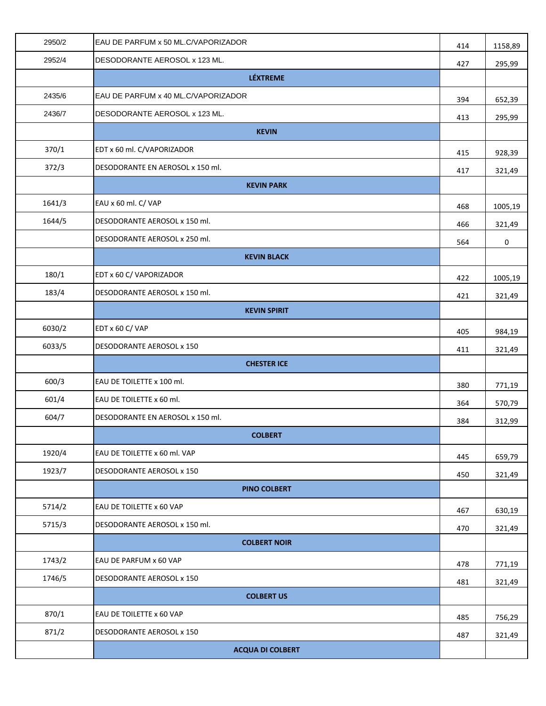| 2950/2 | EAU DE PARFUM x 50 ML.C/VAPORIZADOR | 414 | 1158,89 |
|--------|-------------------------------------|-----|---------|
| 2952/4 | DESODORANTE AEROSOL x 123 ML.       | 427 | 295,99  |
|        | <b>LÉXTREME</b>                     |     |         |
| 2435/6 | EAU DE PARFUM x 40 ML.C/VAPORIZADOR | 394 | 652,39  |
| 2436/7 | DESODORANTE AEROSOL x 123 ML.       | 413 | 295,99  |
|        | <b>KEVIN</b>                        |     |         |
| 370/1  | EDT x 60 ml. C/VAPORIZADOR          | 415 | 928,39  |
| 372/3  | DESODORANTE EN AEROSOL x 150 ml.    | 417 | 321,49  |
|        | <b>KEVIN PARK</b>                   |     |         |
| 1641/3 | EAU x 60 ml. C/ VAP                 | 468 | 1005,19 |
| 1644/5 | DESODORANTE AEROSOL x 150 ml.       | 466 | 321,49  |
|        | DESODORANTE AEROSOL x 250 ml.       | 564 | 0       |
|        | <b>KEVIN BLACK</b>                  |     |         |
| 180/1  | EDT x 60 C/ VAPORIZADOR             | 422 | 1005,19 |
| 183/4  | DESODORANTE AEROSOL x 150 ml.       | 421 | 321,49  |
|        | <b>KEVIN SPIRIT</b>                 |     |         |
| 6030/2 | EDT x 60 C/VAP                      | 405 | 984,19  |
| 6033/5 | DESODORANTE AEROSOL x 150           | 411 | 321,49  |
|        | <b>CHESTER ICE</b>                  |     |         |
| 600/3  | EAU DE TOILETTE x 100 ml.           | 380 | 771,19  |
| 601/4  | EAU DE TOILETTE x 60 ml.            | 364 | 570,79  |
| 604/7  | DESODORANTE EN AEROSOL x 150 ml.    | 384 | 312,99  |
|        | <b>COLBERT</b>                      |     |         |
| 1920/4 | EAU DE TOILETTE x 60 ml. VAP        | 445 | 659,79  |
| 1923/7 | DESODORANTE AEROSOL x 150           | 450 | 321,49  |
|        | <b>PINO COLBERT</b>                 |     |         |
| 5714/2 | EAU DE TOILETTE x 60 VAP            | 467 | 630,19  |
| 5715/3 | DESODORANTE AEROSOL x 150 ml.       | 470 | 321,49  |
|        | <b>COLBERT NOIR</b>                 |     |         |
| 1743/2 | EAU DE PARFUM x 60 VAP              | 478 | 771,19  |
| 1746/5 | DESODORANTE AEROSOL x 150           | 481 | 321,49  |
|        | <b>COLBERT US</b>                   |     |         |
| 870/1  | EAU DE TOILETTE x 60 VAP            | 485 | 756,29  |
| 871/2  | DESODORANTE AEROSOL x 150           | 487 | 321,49  |
|        | <b>ACQUA DI COLBERT</b>             |     |         |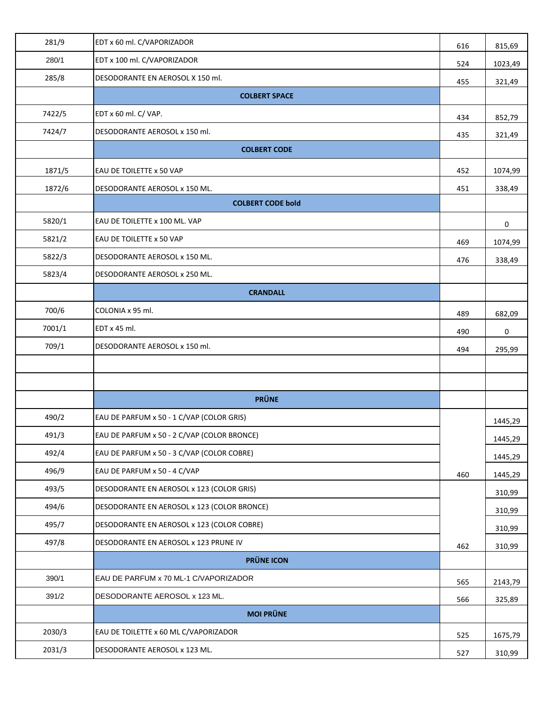| 281/9  | EDT x 60 ml. C/VAPORIZADOR                  | 616 | 815,69  |
|--------|---------------------------------------------|-----|---------|
| 280/1  | EDT x 100 ml. C/VAPORIZADOR                 | 524 | 1023,49 |
| 285/8  | DESODORANTE EN AEROSOL X 150 ml.            | 455 | 321,49  |
|        | <b>COLBERT SPACE</b>                        |     |         |
| 7422/5 | EDT x 60 ml. C/ VAP.                        | 434 | 852,79  |
| 7424/7 | DESODORANTE AEROSOL x 150 ml.               | 435 | 321,49  |
|        | <b>COLBERT CODE</b>                         |     |         |
| 1871/5 | EAU DE TOILETTE x 50 VAP                    | 452 | 1074,99 |
| 1872/6 | DESODORANTE AEROSOL x 150 ML.               | 451 | 338,49  |
|        | <b>COLBERT CODE bold</b>                    |     |         |
| 5820/1 | EAU DE TOILETTE x 100 ML. VAP               |     | 0       |
| 5821/2 | EAU DE TOILETTE x 50 VAP                    | 469 | 1074,99 |
| 5822/3 | DESODORANTE AEROSOL x 150 ML.               | 476 | 338,49  |
| 5823/4 | DESODORANTE AEROSOL x 250 ML.               |     |         |
|        | <b>CRANDALL</b>                             |     |         |
| 700/6  | COLONIA x 95 ml.                            | 489 | 682,09  |
| 7001/1 | EDT x 45 ml.                                | 490 | 0       |
| 709/1  | DESODORANTE AEROSOL x 150 ml.               | 494 | 295,99  |
|        |                                             |     |         |
|        |                                             |     |         |
|        | <b>PRÜNE</b>                                |     |         |
| 490/2  | EAU DE PARFUM x 50 - 1 C/VAP (COLOR GRIS)   |     | 1445,29 |
| 491/3  | EAU DE PARFUM x 50 - 2 C/VAP (COLOR BRONCE) |     | 1445,29 |
| 492/4  | EAU DE PARFUM x 50 - 3 C/VAP (COLOR COBRE)  |     | 1445,29 |
| 496/9  | EAU DE PARFUM x 50 - 4 C/VAP                | 460 | 1445,29 |
| 493/5  | DESODORANTE EN AEROSOL x 123 (COLOR GRIS)   |     | 310,99  |
| 494/6  | DESODORANTE EN AEROSOL x 123 (COLOR BRONCE) |     | 310,99  |
| 495/7  | DESODORANTE EN AEROSOL x 123 (COLOR COBRE)  |     | 310,99  |
| 497/8  | DESODORANTE EN AEROSOL x 123 PRUNE IV       | 462 | 310,99  |
|        | <b>PRÜNE ICON</b>                           |     |         |
| 390/1  | EAU DE PARFUM x 70 ML-1 C/VAPORIZADOR       | 565 | 2143,79 |
| 391/2  | DESODORANTE AEROSOL x 123 ML.               | 566 | 325,89  |
|        | <b>MOI PRÜNE</b>                            |     |         |
| 2030/3 | EAU DE TOILETTE x 60 ML C/VAPORIZADOR       | 525 | 1675,79 |
| 2031/3 | DESODORANTE AEROSOL x 123 ML.               | 527 | 310,99  |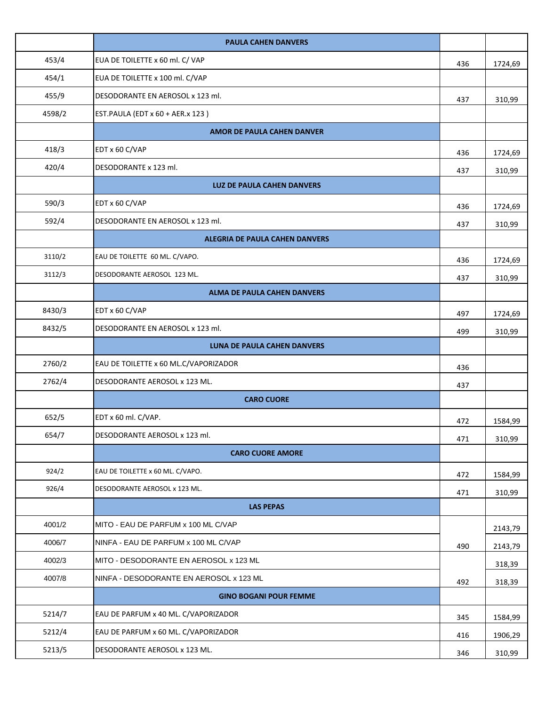|        | <b>PAULA CAHEN DANVERS</b>              |     |         |
|--------|-----------------------------------------|-----|---------|
| 453/4  | EUA DE TOILETTE x 60 ml. C/ VAP         | 436 | 1724,69 |
| 454/1  | EUA DE TOILETTE x 100 ml. C/VAP         |     |         |
| 455/9  | DESODORANTE EN AEROSOL x 123 ml.        | 437 | 310,99  |
| 4598/2 | EST.PAULA (EDT x 60 + AER.x 123)        |     |         |
|        | AMOR DE PAULA CAHEN DANVER              |     |         |
| 418/3  | EDT x 60 C/VAP                          | 436 | 1724,69 |
| 420/4  | DESODORANTE x 123 ml.                   | 437 | 310,99  |
|        | <b>LUZ DE PAULA CAHEN DANVERS</b>       |     |         |
| 590/3  | EDT x 60 C/VAP                          | 436 | 1724,69 |
| 592/4  | DESODORANTE EN AEROSOL x 123 ml.        | 437 | 310,99  |
|        | <b>ALEGRIA DE PAULA CAHEN DANVERS</b>   |     |         |
| 3110/2 | EAU DE TOILETTE 60 ML. C/VAPO.          | 436 | 1724,69 |
| 3112/3 | DESODORANTE AEROSOL 123 ML.             | 437 | 310,99  |
|        | <b>ALMA DE PAULA CAHEN DANVERS</b>      |     |         |
| 8430/3 | EDT x 60 C/VAP                          | 497 | 1724,69 |
| 8432/5 | DESODORANTE EN AEROSOL x 123 ml.        | 499 | 310,99  |
|        | LUNA DE PAULA CAHEN DANVERS             |     |         |
| 2760/2 | EAU DE TOILETTE x 60 ML.C/VAPORIZADOR   | 436 |         |
| 2762/4 | DESODORANTE AEROSOL x 123 ML.           | 437 |         |
|        | <b>CARO CUORE</b>                       |     |         |
| 652/5  | EDT x 60 ml. C/VAP.                     | 472 | 1584,99 |
| 654/7  | DESODORANTE AEROSOL x 123 ml.           | 471 | 310,99  |
|        | <b>CARO CUORE AMORE</b>                 |     |         |
| 924/2  | EAU DE TOILETTE x 60 ML. C/VAPO.        | 472 | 1584,99 |
| 926/4  | DESODORANTE AEROSOL x 123 ML.           | 471 | 310,99  |
|        | <b>LAS PEPAS</b>                        |     |         |
| 4001/2 | MITO - EAU DE PARFUM x 100 ML C/VAP     |     | 2143,79 |
| 4006/7 | NINFA - EAU DE PARFUM x 100 ML C/VAP    | 490 | 2143,79 |
| 4002/3 | MITO - DESODORANTE EN AEROSOL x 123 ML  |     | 318,39  |
| 4007/8 | NINFA - DESODORANTE EN AEROSOL x 123 ML | 492 | 318,39  |
|        | <b>GINO BOGANI POUR FEMME</b>           |     |         |
| 5214/7 | EAU DE PARFUM x 40 ML. C/VAPORIZADOR    | 345 | 1584,99 |
| 5212/4 | EAU DE PARFUM x 60 ML. C/VAPORIZADOR    | 416 | 1906,29 |
| 5213/5 | DESODORANTE AEROSOL x 123 ML.           | 346 | 310,99  |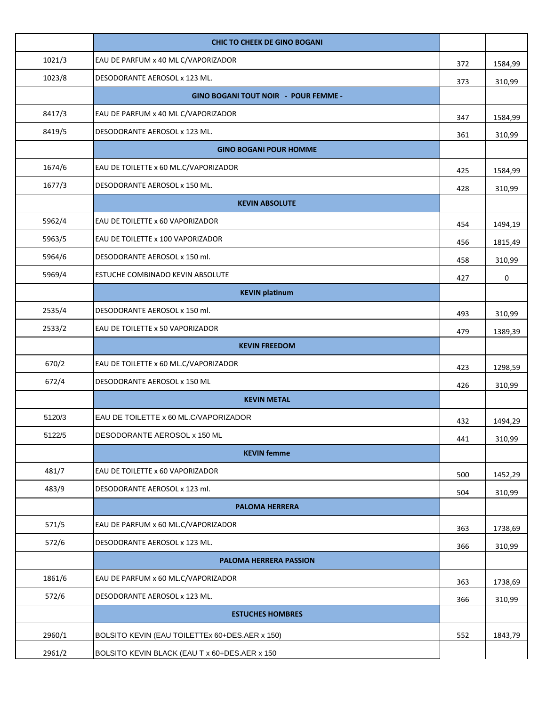|        | <b>CHIC TO CHEEK DE GINO BOGANI</b>            |     |         |
|--------|------------------------------------------------|-----|---------|
| 1021/3 | EAU DE PARFUM x 40 ML C/VAPORIZADOR            | 372 | 1584,99 |
| 1023/8 | DESODORANTE AEROSOL x 123 ML.                  | 373 | 310,99  |
|        | <b>GINO BOGANI TOUT NOIR - POUR FEMME -</b>    |     |         |
| 8417/3 | EAU DE PARFUM x 40 ML C/VAPORIZADOR            | 347 | 1584,99 |
| 8419/5 | DESODORANTE AEROSOL x 123 ML.                  | 361 | 310,99  |
|        | <b>GINO BOGANI POUR HOMME</b>                  |     |         |
| 1674/6 | EAU DE TOILETTE x 60 ML.C/VAPORIZADOR          | 425 | 1584,99 |
| 1677/3 | DESODORANTE AEROSOL x 150 ML.                  | 428 | 310,99  |
|        | <b>KEVIN ABSOLUTE</b>                          |     |         |
| 5962/4 | EAU DE TOILETTE x 60 VAPORIZADOR               | 454 | 1494,19 |
| 5963/5 | EAU DE TOILETTE x 100 VAPORIZADOR              | 456 | 1815,49 |
| 5964/6 | DESODORANTE AEROSOL x 150 ml.                  | 458 | 310,99  |
| 5969/4 | ESTUCHE COMBINADO KEVIN ABSOLUTE               | 427 | 0       |
|        | <b>KEVIN platinum</b>                          |     |         |
| 2535/4 | DESODORANTE AEROSOL x 150 ml.                  | 493 | 310,99  |
| 2533/2 | EAU DE TOILETTE x 50 VAPORIZADOR               | 479 | 1389,39 |
|        | <b>KEVIN FREEDOM</b>                           |     |         |
| 670/2  | EAU DE TOILETTE x 60 ML.C/VAPORIZADOR          | 423 | 1298,59 |
| 672/4  | DESODORANTE AEROSOL x 150 ML                   | 426 | 310,99  |
|        | <b>KEVIN METAL</b>                             |     |         |
| 5120/3 | EAU DE TOILETTE x 60 ML.C/VAPORIZADOR          | 432 | 1494,29 |
| 5122/5 | DESODORANTE AEROSOL x 150 ML                   | 441 | 310,99  |
|        | <b>KEVIN</b> femme                             |     |         |
| 481/7  | EAU DE TOILETTE x 60 VAPORIZADOR               | 500 | 1452,29 |
| 483/9  | DESODORANTE AEROSOL x 123 ml.                  | 504 | 310,99  |
|        | <b>PALOMA HERRERA</b>                          |     |         |
| 571/5  | EAU DE PARFUM x 60 ML.C/VAPORIZADOR            | 363 | 1738,69 |
| 572/6  | DESODORANTE AEROSOL x 123 ML.                  | 366 | 310,99  |
|        | PALOMA HERRERA PASSION                         |     |         |
| 1861/6 | EAU DE PARFUM x 60 ML.C/VAPORIZADOR            | 363 | 1738,69 |
| 572/6  | DESODORANTE AEROSOL x 123 ML.                  | 366 | 310,99  |
|        | <b>ESTUCHES HOMBRES</b>                        |     |         |
| 2960/1 | BOLSITO KEVIN (EAU TOILETTEx 60+DES.AER x 150) | 552 | 1843,79 |
| 2961/2 | BOLSITO KEVIN BLACK (EAU T x 60+DES.AER x 150  |     |         |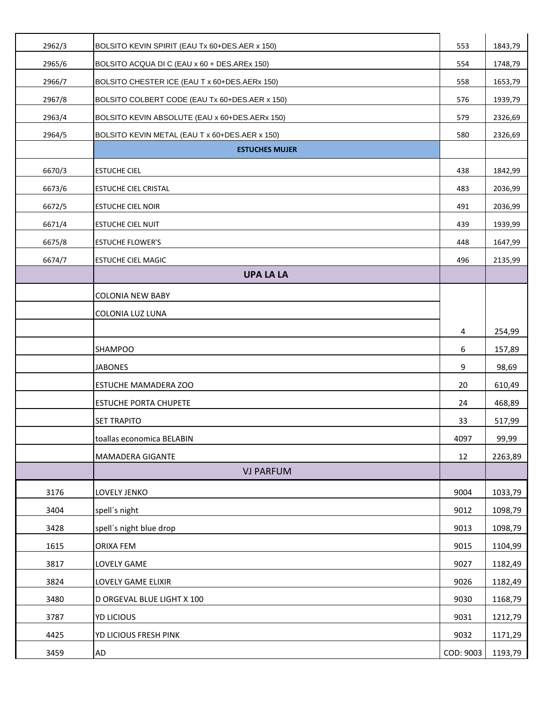| 2962/3 | BOLSITO KEVIN SPIRIT (EAU Tx 60+DES.AER x 150) | 553       | 1843,79 |
|--------|------------------------------------------------|-----------|---------|
| 2965/6 | BOLSITO ACQUA DI C (EAU x 60 + DES.AREx 150)   | 554       | 1748,79 |
| 2966/7 | BOLSITO CHESTER ICE (EAU T x 60+DES.AERx 150)  | 558       | 1653,79 |
| 2967/8 | BOLSITO COLBERT CODE (EAU Tx 60+DES.AER x 150) | 576       | 1939,79 |
| 2963/4 | BOLSITO KEVIN ABSOLUTE (EAU x 60+DES.AERx 150) | 579       | 2326,69 |
| 2964/5 | BOLSITO KEVIN METAL (EAU T x 60+DES.AER x 150) | 580       | 2326,69 |
|        | <b>ESTUCHES MUJER</b>                          |           |         |
| 6670/3 | <b>ESTUCHE CIEL</b>                            | 438       | 1842,99 |
| 6673/6 | <b>ESTUCHE CIEL CRISTAL</b>                    | 483       | 2036,99 |
| 6672/5 | <b>ESTUCHE CIEL NOIR</b>                       | 491       | 2036,99 |
| 6671/4 | <b>ESTUCHE CIEL NUIT</b>                       | 439       | 1939,99 |
| 6675/8 | <b>ESTUCHE FLOWER'S</b>                        | 448       | 1647,99 |
| 6674/7 | <b>ESTUCHE CIEL MAGIC</b>                      | 496       | 2135,99 |
|        | <b>UPA LA LA</b>                               |           |         |
|        | <b>COLONIA NEW BABY</b>                        |           |         |
|        | COLONIA LUZ LUNA                               |           |         |
|        |                                                | 4         | 254,99  |
|        | <b>SHAMPOO</b>                                 | 6         | 157,89  |
|        | <b>JABONES</b>                                 | 9         | 98,69   |
|        | <b>ESTUCHE MAMADERA ZOO</b>                    | 20        | 610,49  |
|        | <b>ESTUCHE PORTA CHUPETE</b>                   | 24        | 468,89  |
|        | <b>SET TRAPITO</b>                             | 33        | 517,99  |
|        | toallas economica BELABIN                      | 4097      | 99,99   |
|        | MAMADERA GIGANTE                               | 12        | 2263,89 |
|        | <b>VJ PARFUM</b>                               |           |         |
| 3176   | LOVELY JENKO                                   | 9004      | 1033,79 |
| 3404   | spell's night                                  | 9012      | 1098,79 |
| 3428   | spell's night blue drop                        | 9013      | 1098,79 |
| 1615   | ORIXA FEM                                      | 9015      | 1104,99 |
| 3817   | LOVELY GAME                                    | 9027      | 1182,49 |
| 3824   | LOVELY GAME ELIXIR                             | 9026      | 1182,49 |
| 3480   | D ORGEVAL BLUE LIGHT X 100                     | 9030      | 1168,79 |
| 3787   | YD LICIOUS                                     | 9031      | 1212,79 |
| 4425   | YD LICIOUS FRESH PINK                          | 9032      | 1171,29 |
| 3459   | AD                                             | COD: 9003 | 1193,79 |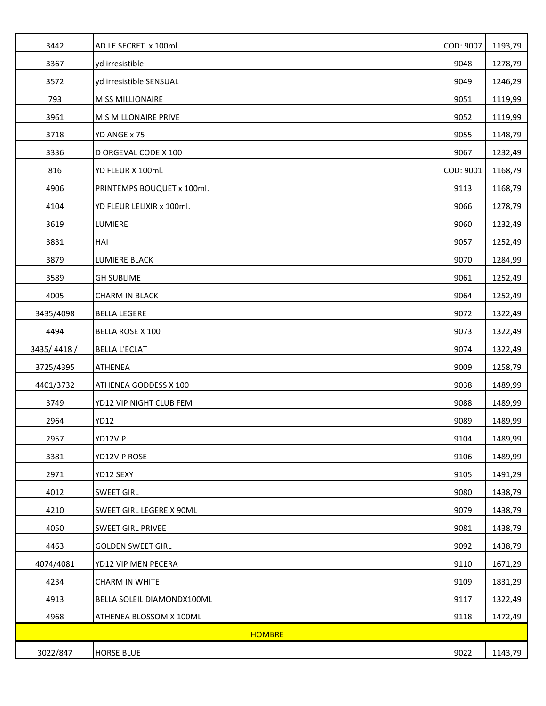| 3442          | AD LE SECRET x 100ml.      | COD: 9007 | 1193,79 |
|---------------|----------------------------|-----------|---------|
| 3367          | yd irresistible            | 9048      | 1278,79 |
| 3572          | yd irresistible SENSUAL    | 9049      | 1246,29 |
| 793           | <b>MISS MILLIONAIRE</b>    | 9051      | 1119,99 |
| 3961          | MIS MILLONAIRE PRIVE       | 9052      | 1119,99 |
| 3718          | YD ANGE x 75               | 9055      | 1148,79 |
| 3336          | D ORGEVAL CODE X 100       | 9067      | 1232,49 |
| 816           | YD FLEUR X 100ml.          | COD: 9001 | 1168,79 |
| 4906          | PRINTEMPS BOUQUET x 100ml. | 9113      | 1168,79 |
| 4104          | YD FLEUR LELIXIR x 100ml.  | 9066      | 1278,79 |
| 3619          | LUMIERE                    | 9060      | 1232,49 |
| 3831          | HAI                        | 9057      | 1252,49 |
| 3879          | LUMIERE BLACK              | 9070      | 1284,99 |
| 3589          | <b>GH SUBLIME</b>          | 9061      | 1252,49 |
| 4005          | <b>CHARM IN BLACK</b>      | 9064      | 1252,49 |
| 3435/4098     | <b>BELLA LEGERE</b>        | 9072      | 1322,49 |
| 4494          | <b>BELLA ROSE X 100</b>    | 9073      | 1322,49 |
| 3435/4418/    | <b>BELLA L'ECLAT</b>       | 9074      | 1322,49 |
| 3725/4395     | ATHENEA                    | 9009      | 1258,79 |
| 4401/3732     | ATHENEA GODDESS X 100      | 9038      | 1489,99 |
| 3749          | YD12 VIP NIGHT CLUB FEM    | 9088      | 1489,99 |
| 2964          | <b>YD12</b>                | 9089      | 1489,99 |
| 2957          | YD12VIP                    | 9104      | 1489,99 |
| 3381          | YD12VIP ROSE               | 9106      | 1489,99 |
| 2971          | YD12 SEXY                  | 9105      | 1491,29 |
| 4012          | <b>SWEET GIRL</b>          | 9080      | 1438,79 |
| 4210          | SWEET GIRL LEGERE X 90ML   | 9079      | 1438,79 |
| 4050          | <b>SWEET GIRL PRIVEE</b>   | 9081      | 1438,79 |
| 4463          | <b>GOLDEN SWEET GIRL</b>   | 9092      | 1438,79 |
| 4074/4081     | YD12 VIP MEN PECERA        | 9110      | 1671,29 |
| 4234          | <b>CHARM IN WHITE</b>      | 9109      | 1831,29 |
| 4913          | BELLA SOLEIL DIAMONDX100ML | 9117      | 1322,49 |
| 4968          | ATHENEA BLOSSOM X 100ML    | 9118      | 1472,49 |
| <b>HOMBRE</b> |                            |           |         |
| 3022/847      | <b>HORSE BLUE</b>          | 9022      | 1143,79 |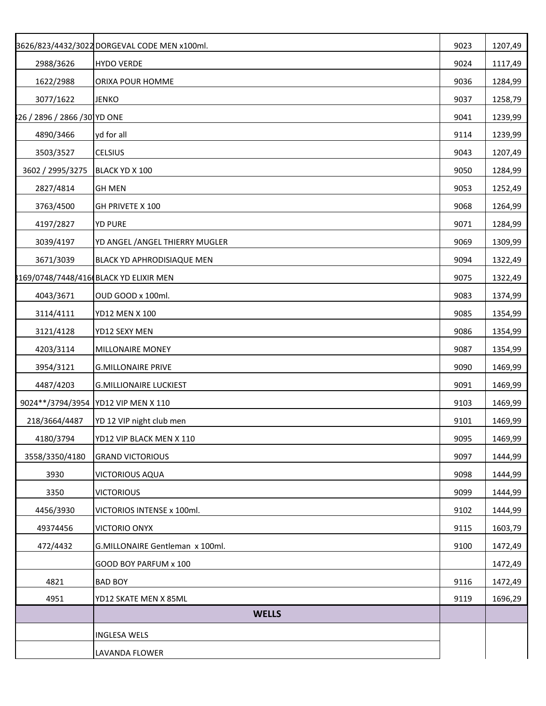|                              | 3626/823/4432/3022 DORGEVAL CODE MEN x100ml. | 9023 | 1207,49 |
|------------------------------|----------------------------------------------|------|---------|
| 2988/3626                    | <b>HYDO VERDE</b>                            | 9024 | 1117,49 |
| 1622/2988                    | ORIXA POUR HOMME                             | 9036 | 1284,99 |
| 3077/1622                    | <b>JENKO</b>                                 | 9037 | 1258,79 |
| 826 / 2896 / 2866 /30 YD ONE |                                              | 9041 | 1239,99 |
| 4890/3466                    | yd for all                                   | 9114 | 1239,99 |
| 3503/3527                    | CELSIUS                                      | 9043 | 1207,49 |
| 3602 / 2995/3275             | BLACK YD X 100                               | 9050 | 1284,99 |
| 2827/4814                    | <b>GH MEN</b>                                | 9053 | 1252,49 |
| 3763/4500                    | GH PRIVETE X 100                             | 9068 | 1264,99 |
| 4197/2827                    | <b>YD PURE</b>                               | 9071 | 1284,99 |
| 3039/4197                    | YD ANGEL / ANGEL THIERRY MUGLER              | 9069 | 1309,99 |
| 3671/3039                    | BLACK YD APHRODISIAQUE MEN                   | 9094 | 1322,49 |
|                              | 8169/0748/7448/416(BLACK YD ELIXIR MEN       | 9075 | 1322,49 |
| 4043/3671                    | OUD GOOD x 100ml.                            | 9083 | 1374,99 |
| 3114/4111                    | YD12 MEN X 100                               | 9085 | 1354,99 |
| 3121/4128                    | YD12 SEXY MEN                                | 9086 | 1354,99 |
| 4203/3114                    | MILLONAIRE MONEY                             | 9087 | 1354,99 |
| 3954/3121                    | <b>G.MILLONAIRE PRIVE</b>                    | 9090 | 1469,99 |
| 4487/4203                    | <b>G.MILLIONAIRE LUCKIEST</b>                | 9091 | 1469,99 |
|                              | 9024**/3794/3954 YD12 VIP MEN X 110          | 9103 | 1469,99 |
| 218/3664/4487                | YD 12 VIP night club men                     | 9101 | 1469,99 |
| 4180/3794                    | YD12 VIP BLACK MEN X 110                     | 9095 | 1469,99 |
| 3558/3350/4180               | <b>GRAND VICTORIOUS</b>                      | 9097 | 1444,99 |
| 3930                         | VICTORIOUS AQUA                              | 9098 | 1444,99 |
| 3350                         | <b>VICTORIOUS</b>                            | 9099 | 1444,99 |
| 4456/3930                    | VICTORIOS INTENSE x 100ml.                   | 9102 | 1444,99 |
| 49374456                     | <b>VICTORIO ONYX</b>                         | 9115 | 1603,79 |
| 472/4432                     | G.MILLONAIRE Gentleman x 100ml.              | 9100 | 1472,49 |
|                              | GOOD BOY PARFUM x 100                        |      | 1472,49 |
| 4821                         | <b>BAD BOY</b>                               | 9116 | 1472,49 |
| 4951                         | YD12 SKATE MEN X 85ML                        | 9119 | 1696,29 |
|                              | <b>WELLS</b>                                 |      |         |
|                              | <b>INGLESA WELS</b>                          |      |         |
|                              | LAVANDA FLOWER                               |      |         |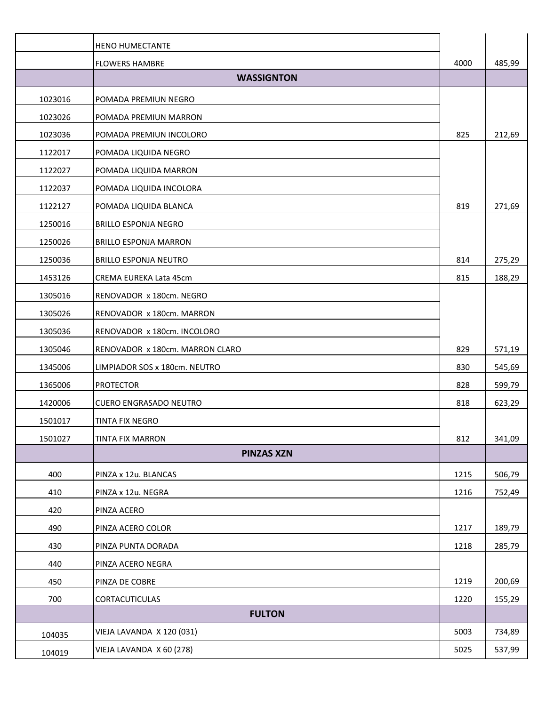|         | <b>HENO HUMECTANTE</b>          |      |        |
|---------|---------------------------------|------|--------|
|         | <b>FLOWERS HAMBRE</b>           | 4000 | 485,99 |
|         | <b>WASSIGNTON</b>               |      |        |
| 1023016 | POMADA PREMIUN NEGRO            |      |        |
| 1023026 | POMADA PREMIUN MARRON           |      |        |
| 1023036 | POMADA PREMIUN INCOLORO         | 825  | 212,69 |
| 1122017 | POMADA LIQUIDA NEGRO            |      |        |
| 1122027 | POMADA LIQUIDA MARRON           |      |        |
| 1122037 | POMADA LIQUIDA INCOLORA         |      |        |
| 1122127 | POMADA LIQUIDA BLANCA           | 819  | 271,69 |
| 1250016 | <b>BRILLO ESPONJA NEGRO</b>     |      |        |
| 1250026 | <b>BRILLO ESPONJA MARRON</b>    |      |        |
| 1250036 | <b>BRILLO ESPONJA NEUTRO</b>    | 814  | 275,29 |
| 1453126 | CREMA EUREKA Lata 45cm          | 815  | 188,29 |
| 1305016 | RENOVADOR x 180cm. NEGRO        |      |        |
| 1305026 | RENOVADOR x 180cm. MARRON       |      |        |
| 1305036 | RENOVADOR x 180cm. INCOLORO     |      |        |
| 1305046 | RENOVADOR x 180cm. MARRON CLARO | 829  | 571,19 |
| 1345006 | LIMPIADOR SOS x 180cm. NEUTRO   | 830  | 545,69 |
| 1365006 | <b>PROTECTOR</b>                | 828  | 599,79 |
| 1420006 | <b>CUERO ENGRASADO NEUTRO</b>   | 818  | 623,29 |
| 1501017 | TINTA FIX NEGRO                 |      |        |
| 1501027 | <b>TINTA FIX MARRON</b>         | 812  | 341,09 |
|         | <b>PINZAS XZN</b>               |      |        |
| 400     | PINZA x 12u. BLANCAS            | 1215 | 506,79 |
| 410     | PINZA x 12u. NEGRA              | 1216 | 752,49 |
| 420     | PINZA ACERO                     |      |        |
| 490     | PINZA ACERO COLOR               | 1217 | 189,79 |
| 430     | PINZA PUNTA DORADA              | 1218 | 285,79 |
| 440     | PINZA ACERO NEGRA               |      |        |
| 450     | PINZA DE COBRE                  | 1219 | 200,69 |
| 700     | CORTACUTICULAS                  | 1220 | 155,29 |
|         | <b>FULTON</b>                   |      |        |
| 104035  | VIEJA LAVANDA X 120 (031)       | 5003 | 734,89 |
| 104019  | VIEJA LAVANDA X 60 (278)        | 5025 | 537,99 |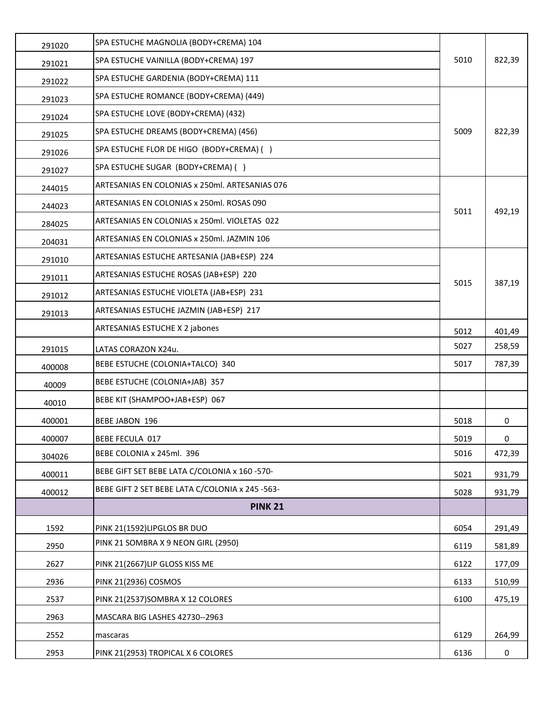| 291020 | SPA ESTUCHE MAGNOLIA (BODY+CREMA) 104           |      |        |
|--------|-------------------------------------------------|------|--------|
| 291021 | SPA ESTUCHE VAINILLA (BODY+CREMA) 197           | 5010 | 822,39 |
| 291022 | SPA ESTUCHE GARDENIA (BODY+CREMA) 111           |      |        |
| 291023 | SPA ESTUCHE ROMANCE (BODY+CREMA) (449)          |      |        |
| 291024 | SPA ESTUCHE LOVE (BODY+CREMA) (432)             |      |        |
| 291025 | SPA ESTUCHE DREAMS (BODY+CREMA) (456)           | 5009 | 822,39 |
| 291026 | SPA ESTUCHE FLOR DE HIGO (BODY+CREMA) ()        |      |        |
| 291027 | SPA ESTUCHE SUGAR (BODY+CREMA) ()               |      |        |
| 244015 | ARTESANIAS EN COLONIAS x 250ml. ARTESANIAS 076  |      |        |
| 244023 | ARTESANIAS EN COLONIAS x 250ml. ROSAS 090       | 5011 | 492,19 |
| 284025 | ARTESANIAS EN COLONIAS x 250ml. VIOLETAS 022    |      |        |
| 204031 | ARTESANIAS EN COLONIAS x 250ml. JAZMIN 106      |      |        |
| 291010 | ARTESANIAS ESTUCHE ARTESANIA (JAB+ESP) 224      |      |        |
| 291011 | ARTESANIAS ESTUCHE ROSAS (JAB+ESP) 220          | 5015 | 387,19 |
| 291012 | ARTESANIAS ESTUCHE VIOLETA (JAB+ESP) 231        |      |        |
| 291013 | ARTESANIAS ESTUCHE JAZMIN (JAB+ESP) 217         |      |        |
|        | ARTESANIAS ESTUCHE X 2 jabones                  | 5012 | 401,49 |
| 291015 | LATAS CORAZON X24u.                             | 5027 | 258,59 |
| 400008 | BEBE ESTUCHE (COLONIA+TALCO) 340                | 5017 | 787,39 |
| 40009  | BEBE ESTUCHE (COLONIA+JAB) 357                  |      |        |
| 40010  | BEBE KIT (SHAMPOO+JAB+ESP) 067                  |      |        |
| 400001 | <b>BEBE JABON 196</b>                           | 5018 | 0      |
| 400007 | <b>BEBE FECULA 017</b>                          | 5019 | 0      |
| 304026 | BEBE COLONIA x 245ml. 396                       | 5016 | 472,39 |
| 400011 | BEBE GIFT SET BEBE LATA C/COLONIA x 160 -570-   | 5021 | 931,79 |
| 400012 | BEBE GIFT 2 SET BEBE LATA C/COLONIA x 245 -563- | 5028 | 931,79 |
|        | <b>PINK 21</b>                                  |      |        |
| 1592   | PINK 21(1592)LIPGLOS BR DUO                     | 6054 | 291,49 |
| 2950   | PINK 21 SOMBRA X 9 NEON GIRL (2950)             | 6119 | 581,89 |
| 2627   | PINK 21(2667)LIP GLOSS KISS ME                  | 6122 | 177,09 |
| 2936   | PINK 21(2936) COSMOS                            | 6133 | 510,99 |
| 2537   | PINK 21(2537) SOMBRA X 12 COLORES               | 6100 | 475,19 |
| 2963   | MASCARA BIG LASHES 42730--2963                  |      |        |
| 2552   | mascaras                                        | 6129 | 264,99 |
| 2953   | PINK 21(2953) TROPICAL X 6 COLORES              | 6136 | 0      |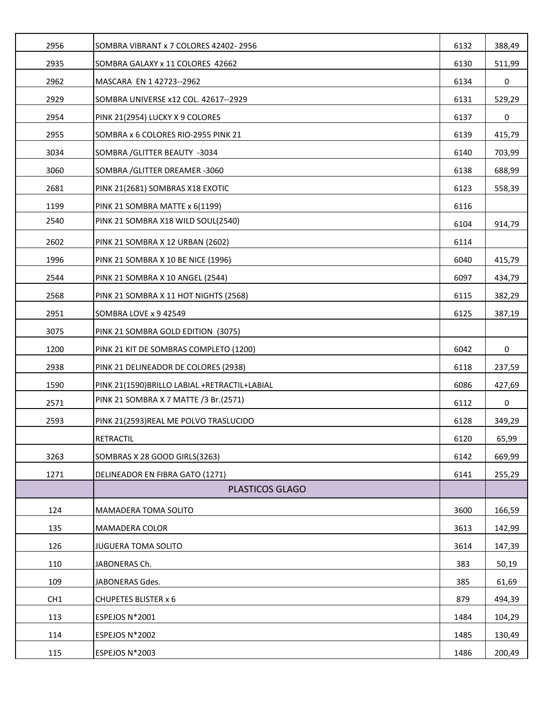| 2956 | SOMBRA VIBRANT x 7 COLORES 42402-2956          | 6132 | 388,49 |
|------|------------------------------------------------|------|--------|
| 2935 | SOMBRA GALAXY x 11 COLORES 42662               | 6130 | 511,99 |
| 2962 | MASCARA EN 1 42723--2962                       | 6134 | 0      |
| 2929 | SOMBRA UNIVERSE x12 COL. 42617--2929           | 6131 | 529,29 |
| 2954 | PINK 21(2954) LUCKY X 9 COLORES                | 6137 | 0      |
| 2955 | SOMBRA x 6 COLORES RIO-2955 PINK 21            | 6139 | 415,79 |
| 3034 | SOMBRA / GLITTER BEAUTY -3034                  | 6140 | 703,99 |
| 3060 | SOMBRA / GLITTER DREAMER -3060                 | 6138 | 688,99 |
| 2681 | PINK 21(2681) SOMBRAS X18 EXOTIC               | 6123 | 558,39 |
| 1199 | PINK 21 SOMBRA MATTE x 6(1199)                 | 6116 |        |
| 2540 | PINK 21 SOMBRA X18 WILD SOUL(2540)             | 6104 | 914,79 |
| 2602 | PINK 21 SOMBRA X 12 URBAN (2602)               | 6114 |        |
| 1996 | PINK 21 SOMBRA X 10 BE NICE (1996)             | 6040 | 415,79 |
| 2544 | PINK 21 SOMBRA X 10 ANGEL (2544)               | 6097 | 434,79 |
| 2568 | PINK 21 SOMBRA X 11 HOT NIGHTS (2568)          | 6115 | 382,29 |
| 2951 | SOMBRA LOVE x 9 42549                          | 6125 | 387,19 |
| 3075 | PINK 21 SOMBRA GOLD EDITION (3075)             |      |        |
| 1200 | PINK 21 KIT DE SOMBRAS COMPLETO (1200)         | 6042 | 0      |
| 2938 | PINK 21 DELINEADOR DE COLORES (2938)           | 6118 | 237,59 |
| 1590 | PINK 21(1590) BRILLO LABIAL + RETRACTIL+LABIAL | 6086 | 427,69 |
| 2571 | PINK 21 SOMBRA X 7 MATTE /3 Br. (2571)         | 6112 | 0      |
| 2593 | PINK 21(2593)REAL ME POLVO TRASLUCIDO          | 6128 | 349,29 |
|      | <b>RETRACTIL</b>                               | 6120 | 65,99  |
| 3263 | SOMBRAS X 28 GOOD GIRLS(3263)                  | 6142 | 669,99 |
| 1271 | DELINEADOR EN FIBRA GATO (1271)                | 6141 | 255,29 |
|      | PLASTICOS GLAGO                                |      |        |
| 124  | MAMADERA TOMA SOLITO                           | 3600 | 166,59 |
| 135  | <b>MAMADERA COLOR</b>                          | 3613 | 142,99 |
| 126  | JUGUERA TOMA SOLITO                            | 3614 | 147,39 |
| 110  | JABONERAS Ch.                                  | 383  | 50,19  |
| 109  | JABONERAS Gdes.                                | 385  | 61,69  |
| CH1  | <b>CHUPETES BLISTER x 6</b>                    | 879  | 494,39 |
| 113  | ESPEJOS N*2001                                 | 1484 | 104,29 |
| 114  | ESPEJOS N*2002                                 | 1485 | 130,49 |
| 115  | ESPEJOS N*2003                                 | 1486 | 200,49 |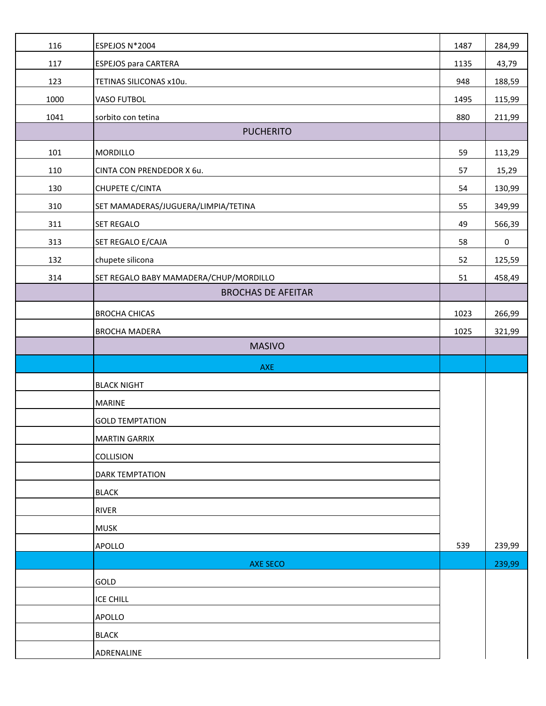| 116  | ESPEJOS N*2004                         | 1487 | 284,99    |
|------|----------------------------------------|------|-----------|
| 117  | <b>ESPEJOS para CARTERA</b>            | 1135 | 43,79     |
| 123  | TETINAS SILICONAS x10u.                | 948  | 188,59    |
| 1000 | VASO FUTBOL                            | 1495 | 115,99    |
| 1041 | sorbito con tetina                     | 880  | 211,99    |
|      | <b>PUCHERITO</b>                       |      |           |
| 101  | <b>MORDILLO</b>                        | 59   | 113,29    |
| 110  | CINTA CON PRENDEDOR X 6u.              | 57   | 15,29     |
| 130  | CHUPETE C/CINTA                        | 54   | 130,99    |
| 310  | SET MAMADERAS/JUGUERA/LIMPIA/TETINA    | 55   | 349,99    |
| 311  | <b>SET REGALO</b>                      | 49   | 566,39    |
| 313  | SET REGALO E/CAJA                      | 58   | $\pmb{0}$ |
| 132  | chupete silicona                       | 52   | 125,59    |
| 314  | SET REGALO BABY MAMADERA/CHUP/MORDILLO | 51   | 458,49    |
|      | <b>BROCHAS DE AFEITAR</b>              |      |           |
|      | <b>BROCHA CHICAS</b>                   | 1023 | 266,99    |
|      | <b>BROCHA MADERA</b>                   | 1025 | 321,99    |
|      | <b>MASIVO</b>                          |      |           |
|      |                                        |      |           |
|      | AXE                                    |      |           |
|      | <b>BLACK NIGHT</b>                     |      |           |
|      | <b>MARINE</b>                          |      |           |
|      | <b>GOLD TEMPTATION</b>                 |      |           |
|      | <b>MARTIN GARRIX</b>                   |      |           |
|      | COLLISION                              |      |           |
|      | <b>DARK TEMPTATION</b>                 |      |           |
|      | <b>BLACK</b>                           |      |           |
|      | <b>RIVER</b>                           |      |           |
|      | <b>MUSK</b>                            |      |           |
|      | <b>APOLLO</b>                          | 539  | 239,99    |
|      | <b>AXE SECO</b>                        |      | 239,99    |
|      | GOLD                                   |      |           |
|      | <b>ICE CHILL</b>                       |      |           |
|      | <b>APOLLO</b>                          |      |           |
|      | <b>BLACK</b>                           |      |           |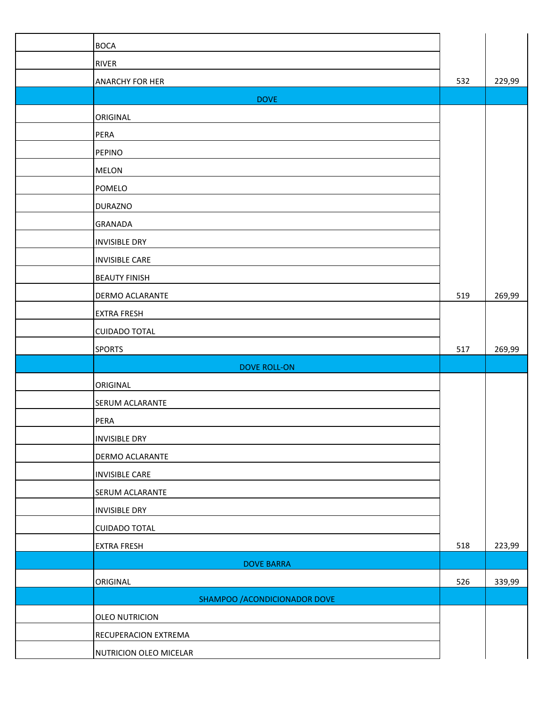| <b>BOCA</b>                   |     |        |
|-------------------------------|-----|--------|
| RIVER                         |     |        |
| ANARCHY FOR HER               | 532 | 229,99 |
| <b>DOVE</b>                   |     |        |
| ORIGINAL                      |     |        |
| PERA                          |     |        |
| <b>PEPINO</b>                 |     |        |
| <b>MELON</b>                  |     |        |
| POMELO                        |     |        |
| <b>DURAZNO</b>                |     |        |
| GRANADA                       |     |        |
| <b>INVISIBLE DRY</b>          |     |        |
| <b>INVISIBLE CARE</b>         |     |        |
| <b>BEAUTY FINISH</b>          |     |        |
| DERMO ACLARANTE               | 519 | 269,99 |
| <b>EXTRA FRESH</b>            |     |        |
| <b>CUIDADO TOTAL</b>          |     |        |
| <b>SPORTS</b>                 | 517 | 269,99 |
| <b>DOVE ROLL-ON</b>           |     |        |
| ORIGINAL                      |     |        |
| SERUM ACLARANTE               |     |        |
| PERA                          |     |        |
| <b>INVISIBLE DRY</b>          |     |        |
| DERMO ACLARANTE               |     |        |
| <b>INVISIBLE CARE</b>         |     |        |
| SERUM ACLARANTE               |     |        |
| <b>INVISIBLE DRY</b>          |     |        |
| <b>CUIDADO TOTAL</b>          |     |        |
| <b>EXTRA FRESH</b>            | 518 | 223,99 |
| <b>DOVE BARRA</b>             |     |        |
| ORIGINAL                      | 526 | 339,99 |
| SHAMPOO / ACONDICIONADOR DOVE |     |        |
| <b>OLEO NUTRICION</b>         |     |        |
| RECUPERACION EXTREMA          |     |        |
| NUTRICION OLEO MICELAR        |     |        |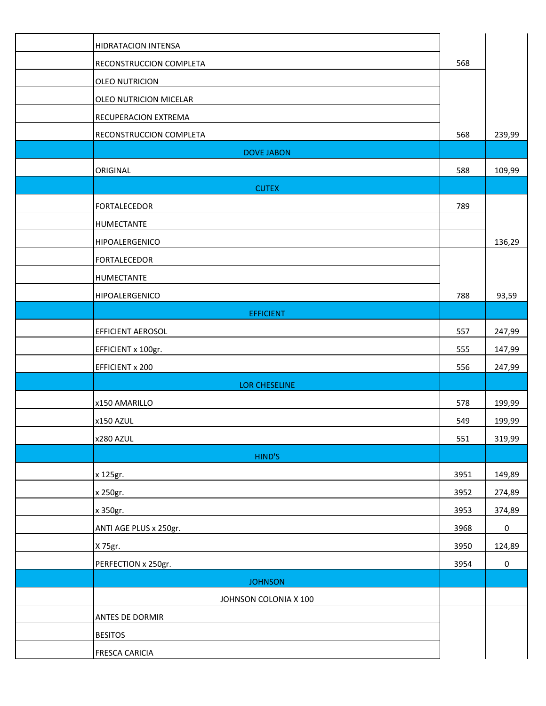| <b>HIDRATACION INTENSA</b>     |      |                     |
|--------------------------------|------|---------------------|
| RECONSTRUCCION COMPLETA        | 568  |                     |
| <b>OLEO NUTRICION</b>          |      |                     |
| OLEO NUTRICION MICELAR         |      |                     |
| RECUPERACION EXTREMA           |      |                     |
| <b>RECONSTRUCCION COMPLETA</b> | 568  | 239,99              |
| <b>DOVE JABON</b>              |      |                     |
| ORIGINAL                       | 588  | 109,99              |
| <b>CUTEX</b>                   |      |                     |
| <b>FORTALECEDOR</b>            | 789  |                     |
| HUMECTANTE                     |      |                     |
| HIPOALERGENICO                 |      | 136,29              |
| <b>FORTALECEDOR</b>            |      |                     |
| HUMECTANTE                     |      |                     |
| HIPOALERGENICO                 | 788  | 93,59               |
| <b>EFFICIENT</b>               |      |                     |
| <b>EFFICIENT AEROSOL</b>       | 557  | 247,99              |
| EFFICIENT x 100gr.             | 555  | 147,99              |
| <b>EFFICIENT x 200</b>         | 556  | 247,99              |
| <b>LOR CHESELINE</b>           |      |                     |
| x150 AMARILLO                  | 578  | 199,99              |
| x150 AZUL                      | 549  | 199,99              |
| x280 AZUL                      | 551  | 319,99              |
| HIND'S                         |      |                     |
| x 125gr.                       | 3951 | 149,89              |
| x 250gr.                       | 3952 | 274,89              |
| x 350gr.                       | 3953 | 374,89              |
| ANTI AGE PLUS x 250gr.         | 3968 | $\pmb{0}$           |
| X 75gr.                        | 3950 | 124,89              |
| PERFECTION x 250gr.            | 3954 | $\mathsf{O}\xspace$ |
| <b>JOHNSON</b>                 |      |                     |
| JOHNSON COLONIA X 100          |      |                     |
| ANTES DE DORMIR                |      |                     |
| <b>BESITOS</b>                 |      |                     |
| <b>FRESCA CARICIA</b>          |      |                     |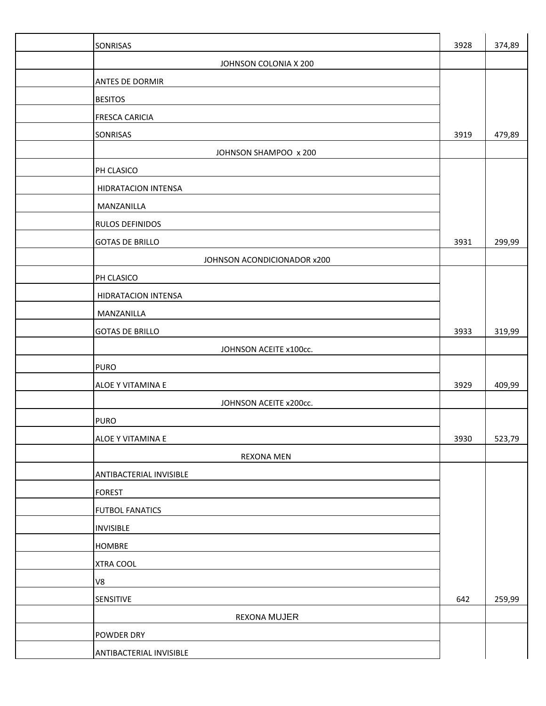| SONRISAS                    | 3928 | 374,89 |
|-----------------------------|------|--------|
| JOHNSON COLONIA X 200       |      |        |
| ANTES DE DORMIR             |      |        |
| <b>BESITOS</b>              |      |        |
| <b>FRESCA CARICIA</b>       |      |        |
| SONRISAS                    | 3919 | 479,89 |
| JOHNSON SHAMPOO x 200       |      |        |
| PH CLASICO                  |      |        |
| HIDRATACION INTENSA         |      |        |
| MANZANILLA                  |      |        |
| RULOS DEFINIDOS             |      |        |
| <b>GOTAS DE BRILLO</b>      | 3931 | 299,99 |
| JOHNSON ACONDICIONADOR x200 |      |        |
| PH CLASICO                  |      |        |
| HIDRATACION INTENSA         |      |        |
| MANZANILLA                  |      |        |
| <b>GOTAS DE BRILLO</b>      | 3933 | 319,99 |
| JOHNSON ACEITE x100cc.      |      |        |
| <b>PURO</b>                 |      |        |
| ALOE Y VITAMINA E           | 3929 | 409,99 |
| JOHNSON ACEITE x200cc.      |      |        |
| <b>PURO</b>                 |      |        |
| ALOE Y VITAMINA E           | 3930 | 523,79 |
| <b>REXONA MEN</b>           |      |        |
| ANTIBACTERIAL INVISIBLE     |      |        |
| <b>FOREST</b>               |      |        |
| <b>FUTBOL FANATICS</b>      |      |        |
| <b>INVISIBLE</b>            |      |        |
| <b>HOMBRE</b>               |      |        |
| <b>XTRA COOL</b>            |      |        |
| V8                          |      |        |
| SENSITIVE                   | 642  | 259,99 |
| <b>REXONA MUJER</b>         |      |        |
| POWDER DRY                  |      |        |
| ANTIBACTERIAL INVISIBLE     |      |        |